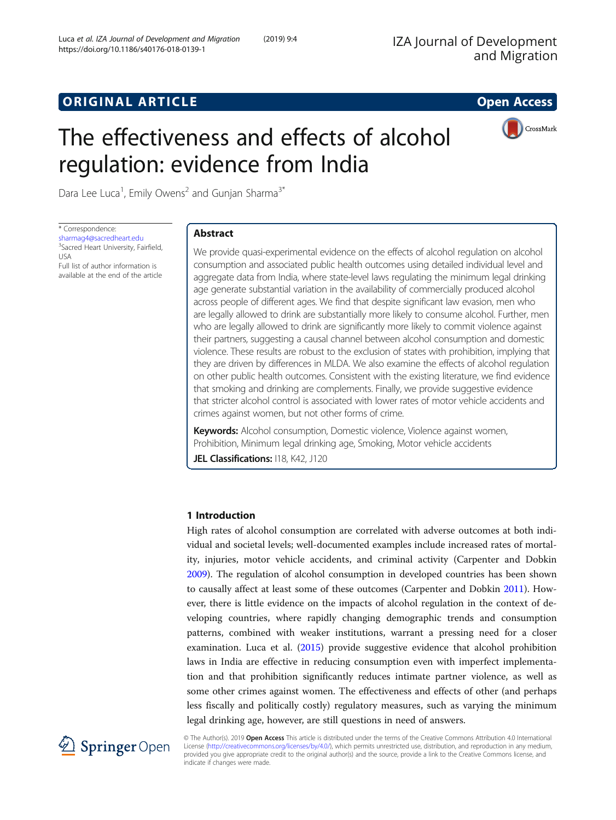# <span id="page-0-0"></span>**ORIGINAL ARTICLE CONSERVANCE IN A LOCAL CONSERVANCE IN A LOCAL CONSERVANCE IN A LOCAL CONSERVANCE IN A LOCAL CONSERVANCE IN A LOCAL CONSERVANCE IN A LOCAL CONSERVANCE IN A LOCAL CONSERVANCE IN A LOCAL CONSERVANCE IN A L**

# The effectiveness and effects of alcohol regulation: evidence from India



Dara Lee Luca<sup>1</sup>, Emily Owens<sup>2</sup> and Gunjan Sharma<sup>3\*</sup>

\* Correspondence: [sharmag4@sacredheart.edu](mailto:sharmag4@sacredheart.edu) <sup>3</sup>Sacred Heart University, Fairfield, USA Full list of author information is available at the end of the article

# Abstract

We provide quasi-experimental evidence on the effects of alcohol regulation on alcohol consumption and associated public health outcomes using detailed individual level and aggregate data from India, where state-level laws regulating the minimum legal drinking age generate substantial variation in the availability of commercially produced alcohol across people of different ages. We find that despite significant law evasion, men who are legally allowed to drink are substantially more likely to consume alcohol. Further, men who are legally allowed to drink are significantly more likely to commit violence against their partners, suggesting a causal channel between alcohol consumption and domestic violence. These results are robust to the exclusion of states with prohibition, implying that they are driven by differences in MLDA. We also examine the effects of alcohol regulation on other public health outcomes. Consistent with the existing literature, we find evidence that smoking and drinking are complements. Finally, we provide suggestive evidence that stricter alcohol control is associated with lower rates of motor vehicle accidents and crimes against women, but not other forms of crime.

Keywords: Alcohol consumption, Domestic violence, Violence against women, Prohibition, Minimum legal drinking age, Smoking, Motor vehicle accidents

JEL Classifications: 118, K42, J120

# 1 Introduction

High rates of alcohol consumption are correlated with adverse outcomes at both individual and societal levels; well-documented examples include increased rates of mortality, injuries, motor vehicle accidents, and criminal activity (Carpenter and Dobkin [2009](#page-24-0)). The regulation of alcohol consumption in developed countries has been shown to causally affect at least some of these outcomes (Carpenter and Dobkin [2011\)](#page-24-0). However, there is little evidence on the impacts of alcohol regulation in the context of developing countries, where rapidly changing demographic trends and consumption patterns, combined with weaker institutions, warrant a pressing need for a closer examination. Luca et al. [\(2015](#page-25-0)) provide suggestive evidence that alcohol prohibition laws in India are effective in reducing consumption even with imperfect implementation and that prohibition significantly reduces intimate partner violence, as well as some other crimes against women. The effectiveness and effects of other (and perhaps less fiscally and politically costly) regulatory measures, such as varying the minimum legal drinking age, however, are still questions in need of answers.



© The Author(s). 2019 Open Access This article is distributed under the terms of the Creative Commons Attribution 4.0 International License [\(http://creativecommons.org/licenses/by/4.0/](http://creativecommons.org/licenses/by/4.0/)), which permits unrestricted use, distribution, and reproduction in any medium, provided you give appropriate credit to the original author(s) and the source, provide a link to the Creative Commons license, and indicate if changes were made.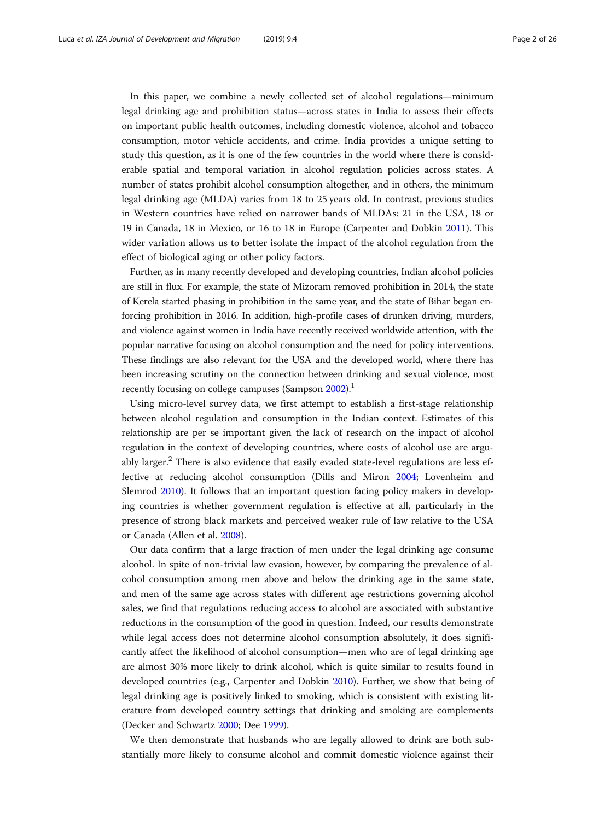In this paper, we combine a newly collected set of alcohol regulations—minimum legal drinking age and prohibition status—across states in India to assess their effects on important public health outcomes, including domestic violence, alcohol and tobacco consumption, motor vehicle accidents, and crime. India provides a unique setting to study this question, as it is one of the few countries in the world where there is considerable spatial and temporal variation in alcohol regulation policies across states. A number of states prohibit alcohol consumption altogether, and in others, the minimum legal drinking age (MLDA) varies from 18 to 25 years old. In contrast, previous studies in Western countries have relied on narrower bands of MLDAs: 21 in the USA, 18 or 19 in Canada, 18 in Mexico, or 16 to 18 in Europe (Carpenter and Dobkin [2011\)](#page-24-0). This wider variation allows us to better isolate the impact of the alcohol regulation from the effect of biological aging or other policy factors.

Further, as in many recently developed and developing countries, Indian alcohol policies are still in flux. For example, the state of Mizoram removed prohibition in 2014, the state of Kerela started phasing in prohibition in the same year, and the state of Bihar began enforcing prohibition in 2016. In addition, high-profile cases of drunken driving, murders, and violence against women in India have recently received worldwide attention, with the popular narrative focusing on alcohol consumption and the need for policy interventions. These findings are also relevant for the USA and the developed world, where there has been increasing scrutiny on the connection between drinking and sexual violence, most recently focusing on college campuses (Sampson [2002](#page-25-0)).<sup>1</sup>

Using micro-level survey data, we first attempt to establish a first-stage relationship between alcohol regulation and consumption in the Indian context. Estimates of this relationship are per se important given the lack of research on the impact of alcohol regulation in the context of developing countries, where costs of alcohol use are arguably larger.2 There is also evidence that easily evaded state-level regulations are less effective at reducing alcohol consumption (Dills and Miron [2004;](#page-24-0) Lovenheim and Slemrod [2010](#page-25-0)). It follows that an important question facing policy makers in developing countries is whether government regulation is effective at all, particularly in the presence of strong black markets and perceived weaker rule of law relative to the USA or Canada (Allen et al. [2008\)](#page-24-0).

Our data confirm that a large fraction of men under the legal drinking age consume alcohol. In spite of non-trivial law evasion, however, by comparing the prevalence of alcohol consumption among men above and below the drinking age in the same state, and men of the same age across states with different age restrictions governing alcohol sales, we find that regulations reducing access to alcohol are associated with substantive reductions in the consumption of the good in question. Indeed, our results demonstrate while legal access does not determine alcohol consumption absolutely, it does significantly affect the likelihood of alcohol consumption—men who are of legal drinking age are almost 30% more likely to drink alcohol, which is quite similar to results found in developed countries (e.g., Carpenter and Dobkin [2010\)](#page-24-0). Further, we show that being of legal drinking age is positively linked to smoking, which is consistent with existing literature from developed country settings that drinking and smoking are complements (Decker and Schwartz [2000;](#page-24-0) Dee [1999](#page-24-0)).

We then demonstrate that husbands who are legally allowed to drink are both substantially more likely to consume alcohol and commit domestic violence against their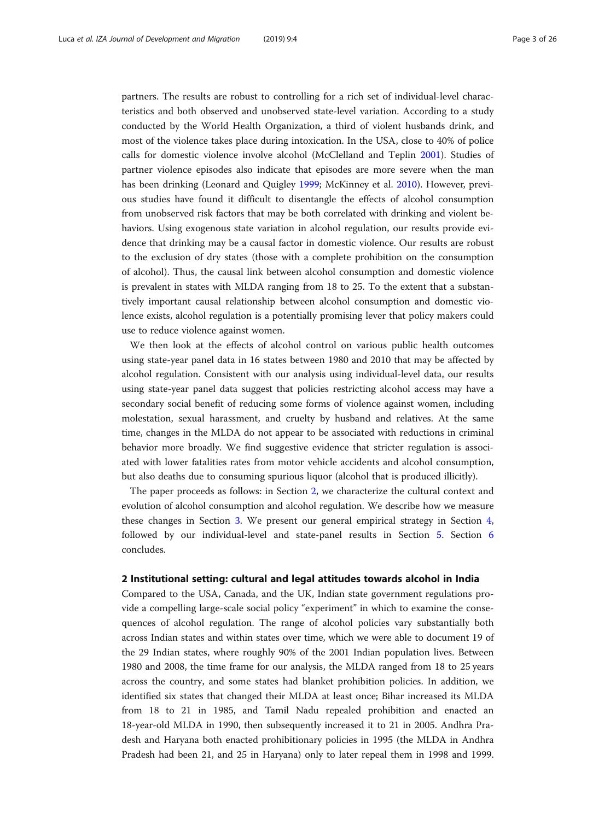partners. The results are robust to controlling for a rich set of individual-level characteristics and both observed and unobserved state-level variation. According to a study conducted by the World Health Organization, a third of violent husbands drink, and most of the violence takes place during intoxication. In the USA, close to 40% of police calls for domestic violence involve alcohol (McClelland and Teplin [2001](#page-25-0)). Studies of partner violence episodes also indicate that episodes are more severe when the man has been drinking (Leonard and Quigley [1999;](#page-25-0) McKinney et al. [2010](#page-25-0)). However, previous studies have found it difficult to disentangle the effects of alcohol consumption from unobserved risk factors that may be both correlated with drinking and violent behaviors. Using exogenous state variation in alcohol regulation, our results provide evidence that drinking may be a causal factor in domestic violence. Our results are robust to the exclusion of dry states (those with a complete prohibition on the consumption of alcohol). Thus, the causal link between alcohol consumption and domestic violence is prevalent in states with MLDA ranging from 18 to 25. To the extent that a substantively important causal relationship between alcohol consumption and domestic violence exists, alcohol regulation is a potentially promising lever that policy makers could use to reduce violence against women.

We then look at the effects of alcohol control on various public health outcomes using state-year panel data in 16 states between 1980 and 2010 that may be affected by alcohol regulation. Consistent with our analysis using individual-level data, our results using state-year panel data suggest that policies restricting alcohol access may have a secondary social benefit of reducing some forms of violence against women, including molestation, sexual harassment, and cruelty by husband and relatives. At the same time, changes in the MLDA do not appear to be associated with reductions in criminal behavior more broadly. We find suggestive evidence that stricter regulation is associated with lower fatalities rates from motor vehicle accidents and alcohol consumption, but also deaths due to consuming spurious liquor (alcohol that is produced illicitly).

The paper proceeds as follows: in Section 2, we characterize the cultural context and evolution of alcohol consumption and alcohol regulation. We describe how we measure these changes in Section [3](#page-4-0). We present our general empirical strategy in Section [4](#page-7-0), followed by our individual-level and state-panel results in Section [5](#page-10-0). Section [6](#page-17-0) concludes.

#### 2 Institutional setting: cultural and legal attitudes towards alcohol in India

Compared to the USA, Canada, and the UK, Indian state government regulations provide a compelling large-scale social policy "experiment" in which to examine the consequences of alcohol regulation. The range of alcohol policies vary substantially both across Indian states and within states over time, which we were able to document 19 of the 29 Indian states, where roughly 90% of the 2001 Indian population lives. Between 1980 and 2008, the time frame for our analysis, the MLDA ranged from 18 to 25 years across the country, and some states had blanket prohibition policies. In addition, we identified six states that changed their MLDA at least once; Bihar increased its MLDA from 18 to 21 in 1985, and Tamil Nadu repealed prohibition and enacted an 18-year-old MLDA in 1990, then subsequently increased it to 21 in 2005. Andhra Pradesh and Haryana both enacted prohibitionary policies in 1995 (the MLDA in Andhra Pradesh had been 21, and 25 in Haryana) only to later repeal them in 1998 and 1999.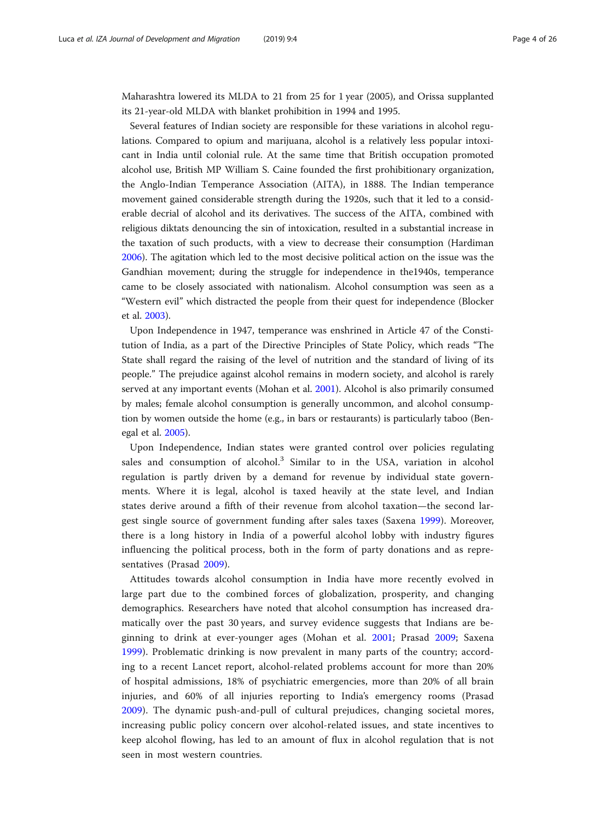Maharashtra lowered its MLDA to 21 from 25 for 1 year (2005), and Orissa supplanted its 21-year-old MLDA with blanket prohibition in 1994 and 1995.

Several features of Indian society are responsible for these variations in alcohol regulations. Compared to opium and marijuana, alcohol is a relatively less popular intoxicant in India until colonial rule. At the same time that British occupation promoted alcohol use, British MP William S. Caine founded the first prohibitionary organization, the Anglo-Indian Temperance Association (AITA), in 1888. The Indian temperance movement gained considerable strength during the 1920s, such that it led to a considerable decrial of alcohol and its derivatives. The success of the AITA, combined with religious diktats denouncing the sin of intoxication, resulted in a substantial increase in the taxation of such products, with a view to decrease their consumption (Hardiman [2006](#page-25-0)). The agitation which led to the most decisive political action on the issue was the Gandhian movement; during the struggle for independence in the1940s, temperance came to be closely associated with nationalism. Alcohol consumption was seen as a "Western evil" which distracted the people from their quest for independence (Blocker et al. [2003\)](#page-24-0).

Upon Independence in 1947, temperance was enshrined in Article 47 of the Constitution of India, as a part of the Directive Principles of State Policy, which reads "The State shall regard the raising of the level of nutrition and the standard of living of its people." The prejudice against alcohol remains in modern society, and alcohol is rarely served at any important events (Mohan et al. [2001\)](#page-25-0). Alcohol is also primarily consumed by males; female alcohol consumption is generally uncommon, and alcohol consumption by women outside the home (e.g., in bars or restaurants) is particularly taboo (Benegal et al. [2005\)](#page-24-0).

Upon Independence, Indian states were granted control over policies regulating sales and consumption of alcohol.<sup>3</sup> Similar to in the USA, variation in alcohol regulation is partly driven by a demand for revenue by individual state governments. Where it is legal, alcohol is taxed heavily at the state level, and Indian states derive around a fifth of their revenue from alcohol taxation—the second largest single source of government funding after sales taxes (Saxena [1999](#page-25-0)). Moreover, there is a long history in India of a powerful alcohol lobby with industry figures influencing the political process, both in the form of party donations and as representatives (Prasad [2009\)](#page-25-0).

Attitudes towards alcohol consumption in India have more recently evolved in large part due to the combined forces of globalization, prosperity, and changing demographics. Researchers have noted that alcohol consumption has increased dramatically over the past 30 years, and survey evidence suggests that Indians are beginning to drink at ever-younger ages (Mohan et al. [2001;](#page-25-0) Prasad [2009;](#page-25-0) Saxena [1999\)](#page-25-0). Problematic drinking is now prevalent in many parts of the country; according to a recent Lancet report, alcohol-related problems account for more than 20% of hospital admissions, 18% of psychiatric emergencies, more than 20% of all brain injuries, and 60% of all injuries reporting to India's emergency rooms (Prasad [2009\)](#page-25-0). The dynamic push-and-pull of cultural prejudices, changing societal mores, increasing public policy concern over alcohol-related issues, and state incentives to keep alcohol flowing, has led to an amount of flux in alcohol regulation that is not seen in most western countries.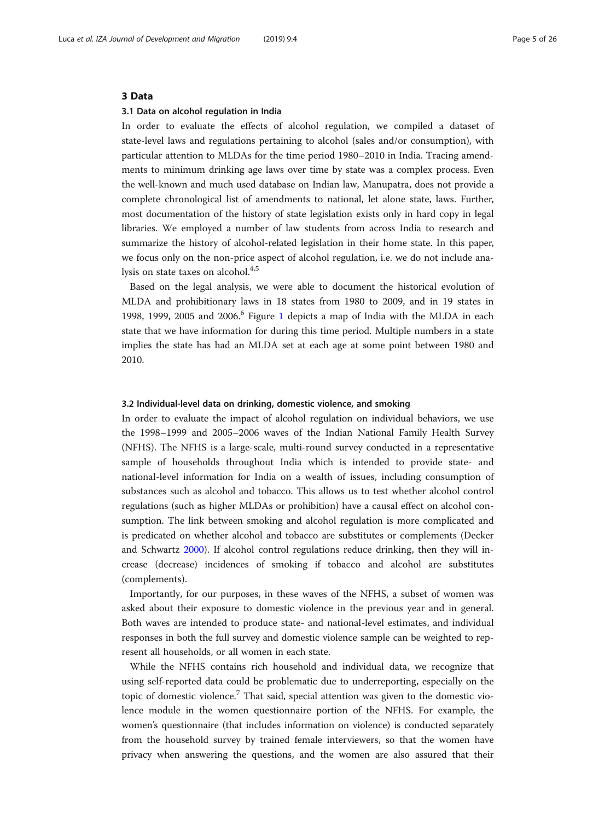#### <span id="page-4-0"></span>3 Data

#### 3.1 Data on alcohol regulation in India

In order to evaluate the effects of alcohol regulation, we compiled a dataset of state-level laws and regulations pertaining to alcohol (sales and/or consumption), with particular attention to MLDAs for the time period 1980–2010 in India. Tracing amendments to minimum drinking age laws over time by state was a complex process. Even the well-known and much used database on Indian law, Manupatra, does not provide a complete chronological list of amendments to national, let alone state, laws. Further, most documentation of the history of state legislation exists only in hard copy in legal libraries. We employed a number of law students from across India to research and summarize the history of alcohol-related legislation in their home state. In this paper, we focus only on the non-price aspect of alcohol regulation, i.e. we do not include analysis on state taxes on alcohol.<sup>4,5</sup>

Based on the legal analysis, we were able to document the historical evolution of MLDA and prohibitionary laws in 18 states from 1980 to 2009, and in 19 states in [1](#page-5-0)998, 1999, 2005 and 2006.<sup>6</sup> Figure 1 depicts a map of India with the MLDA in each state that we have information for during this time period. Multiple numbers in a state implies the state has had an MLDA set at each age at some point between 1980 and 2010.

#### 3.2 Individual-level data on drinking, domestic violence, and smoking

In order to evaluate the impact of alcohol regulation on individual behaviors, we use the 1998–1999 and 2005–2006 waves of the Indian National Family Health Survey (NFHS). The NFHS is a large-scale, multi-round survey conducted in a representative sample of households throughout India which is intended to provide state- and national-level information for India on a wealth of issues, including consumption of substances such as alcohol and tobacco. This allows us to test whether alcohol control regulations (such as higher MLDAs or prohibition) have a causal effect on alcohol consumption. The link between smoking and alcohol regulation is more complicated and is predicated on whether alcohol and tobacco are substitutes or complements (Decker and Schwartz [2000](#page-24-0)). If alcohol control regulations reduce drinking, then they will increase (decrease) incidences of smoking if tobacco and alcohol are substitutes (complements).

Importantly, for our purposes, in these waves of the NFHS, a subset of women was asked about their exposure to domestic violence in the previous year and in general. Both waves are intended to produce state- and national-level estimates, and individual responses in both the full survey and domestic violence sample can be weighted to represent all households, or all women in each state.

While the NFHS contains rich household and individual data, we recognize that using self-reported data could be problematic due to underreporting, especially on the topic of domestic violence.<sup>7</sup> That said, special attention was given to the domestic violence module in the women questionnaire portion of the NFHS. For example, the women's questionnaire (that includes information on violence) is conducted separately from the household survey by trained female interviewers, so that the women have privacy when answering the questions, and the women are also assured that their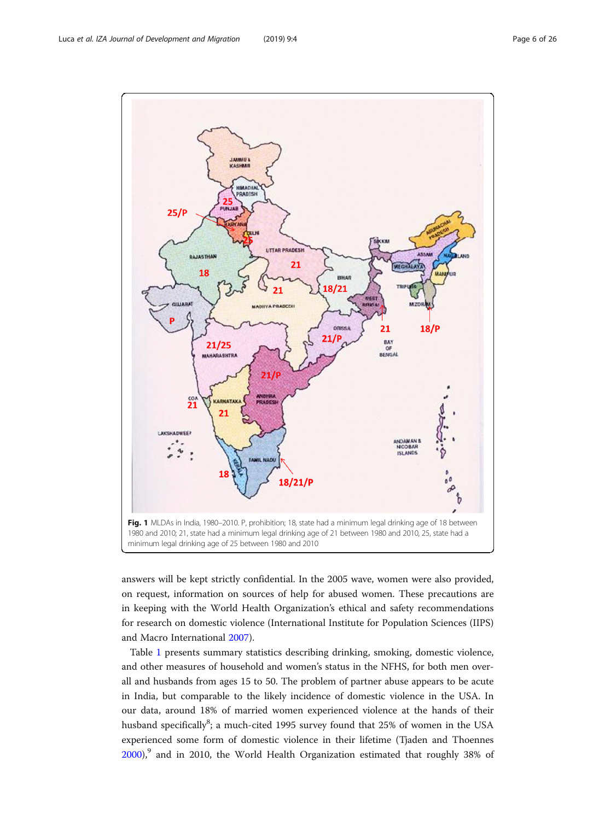<span id="page-5-0"></span>

answers will be kept strictly confidential. In the 2005 wave, women were also provided, on request, information on sources of help for abused women. These precautions are in keeping with the World Health Organization's ethical and safety recommendations for research on domestic violence (International Institute for Population Sciences (IIPS) and Macro International [2007\)](#page-25-0).

Table [1](#page-6-0) presents summary statistics describing drinking, smoking, domestic violence, and other measures of household and women's status in the NFHS, for both men overall and husbands from ages 15 to 50. The problem of partner abuse appears to be acute in India, but comparable to the likely incidence of domestic violence in the USA. In our data, around 18% of married women experienced violence at the hands of their husband specifically<sup>8</sup>; a much-cited 1995 survey found that 25% of women in the USA experienced some form of domestic violence in their lifetime (Tjaden and Thoennes  $2000$ ,<sup>9</sup> and in 2010, the World Health Organization estimated that roughly 38% of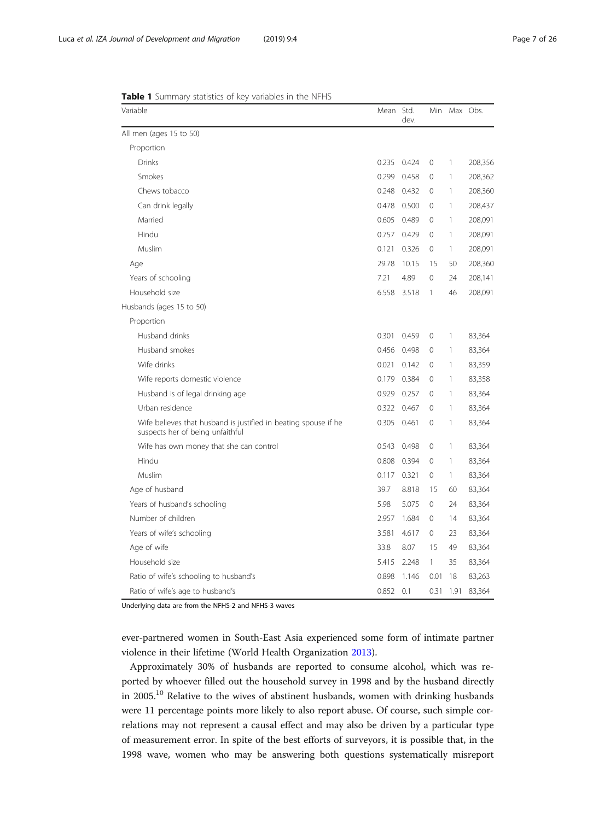#### <span id="page-6-0"></span>Table 1 Summary statistics of key variables in the NFHS

| Variable                                                                                            | Mean Std. | dev.        | Min          |              | Max Obs. |
|-----------------------------------------------------------------------------------------------------|-----------|-------------|--------------|--------------|----------|
| All men (ages 15 to 50)                                                                             |           |             |              |              |          |
| Proportion                                                                                          |           |             |              |              |          |
| <b>Drinks</b>                                                                                       | 0.235     | 0.424       | 0            | $\mathbf{1}$ | 208,356  |
| Smokes                                                                                              | 0.299     | 0.458       | 0            | 1            | 208,362  |
| Chews tobacco                                                                                       | 0.248     | 0.432       | $\Omega$     | 1            | 208,360  |
| Can drink legally                                                                                   | 0.478     | 0.500       | 0            | $\mathbf{1}$ | 208,437  |
| Married                                                                                             | 0.605     | 0.489       | 0            | $\mathbf{1}$ | 208,091  |
| Hindu                                                                                               | 0.757     | 0.429       | $\mathbf{0}$ | $\mathbf{1}$ | 208,091  |
| Muslim                                                                                              | 0.121     | 0.326       | $\mathbf{0}$ | 1            | 208,091  |
| Age                                                                                                 | 29.78     | 10.15       | 15           | 50           | 208,360  |
| Years of schooling                                                                                  | 7.21      | 4.89        | $\mathbf{0}$ | 24           | 208,141  |
| Household size                                                                                      |           | 6.558 3.518 | $\mathbf{1}$ | 46           | 208,091  |
| Husbands (ages 15 to 50)                                                                            |           |             |              |              |          |
| Proportion                                                                                          |           |             |              |              |          |
| Husband drinks                                                                                      | 0.301     | 0.459       | 0            | $\mathbf{1}$ | 83,364   |
| Husband smokes                                                                                      | 0.456     | 0.498       | 0            | 1            | 83,364   |
| Wife drinks                                                                                         | 0.021     | 0.142       | 0            | $\mathbf{1}$ | 83,359   |
| Wife reports domestic violence                                                                      | 0.179     | 0.384       | 0            | $\mathbf{1}$ | 83,358   |
| Husband is of legal drinking age                                                                    | 0.929     | 0.257       | 0            | $\mathbf{1}$ | 83,364   |
| Urban residence                                                                                     | 0.322     | 0.467       | 0            | $\mathbf{1}$ | 83,364   |
| Wife believes that husband is justified in beating spouse if he<br>suspects her of being unfaithful | 0.305     | 0.461       | 0            | 1            | 83,364   |
| Wife has own money that she can control                                                             | 0.543     | 0.498       | 0            | $\mathbf{1}$ | 83,364   |
| Hindu                                                                                               | 0.808     | 0.394       | 0            | 1            | 83,364   |
| Muslim                                                                                              | 0.117     | 0.321       | $\mathbf 0$  | $\mathbf{1}$ | 83,364   |
| Age of husband                                                                                      | 39.7      | 8.818       | 15           | 60           | 83,364   |
| Years of husband's schooling                                                                        | 5.98      | 5.075       | 0            | 24           | 83,364   |
| Number of children                                                                                  | 2.957     | 1.684       | $\mathbf{0}$ | 14           | 83,364   |
| Years of wife's schooling                                                                           | 3.581     | 4.617       | $\mathbf{0}$ | 23           | 83,364   |
| Age of wife                                                                                         | 33.8      | 8.07        | 15           | 49           | 83,364   |
| Household size                                                                                      | 5.415     | 2.248       | $\mathbf{1}$ | 35           | 83,364   |
| Ratio of wife's schooling to husband's                                                              | 0.898     | 1.146       | 0.01         | 18           | 83,263   |
| Ratio of wife's age to husband's                                                                    | 0.852     | 0.1         | 0.31         | 1.91         | 83,364   |

Underlying data are from the NFHS-2 and NFHS-3 waves

ever-partnered women in South-East Asia experienced some form of intimate partner violence in their lifetime (World Health Organization [2013](#page-25-0)).

Approximately 30% of husbands are reported to consume alcohol, which was reported by whoever filled out the household survey in 1998 and by the husband directly in 2005.<sup>10</sup> Relative to the wives of abstinent husbands, women with drinking husbands were 11 percentage points more likely to also report abuse. Of course, such simple correlations may not represent a causal effect and may also be driven by a particular type of measurement error. In spite of the best efforts of surveyors, it is possible that, in the 1998 wave, women who may be answering both questions systematically misreport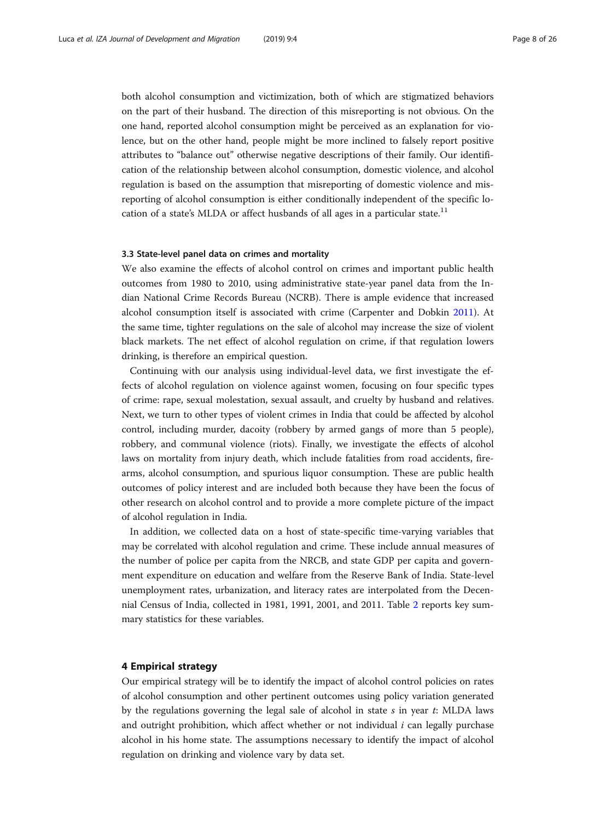<span id="page-7-0"></span>both alcohol consumption and victimization, both of which are stigmatized behaviors on the part of their husband. The direction of this misreporting is not obvious. On the one hand, reported alcohol consumption might be perceived as an explanation for violence, but on the other hand, people might be more inclined to falsely report positive attributes to "balance out" otherwise negative descriptions of their family. Our identification of the relationship between alcohol consumption, domestic violence, and alcohol regulation is based on the assumption that misreporting of domestic violence and misreporting of alcohol consumption is either conditionally independent of the specific location of a state's MLDA or affect husbands of all ages in a particular state.<sup>11</sup>

## 3.3 State-level panel data on crimes and mortality

We also examine the effects of alcohol control on crimes and important public health outcomes from 1980 to 2010, using administrative state-year panel data from the Indian National Crime Records Bureau (NCRB). There is ample evidence that increased alcohol consumption itself is associated with crime (Carpenter and Dobkin [2011](#page-24-0)). At the same time, tighter regulations on the sale of alcohol may increase the size of violent black markets. The net effect of alcohol regulation on crime, if that regulation lowers drinking, is therefore an empirical question.

Continuing with our analysis using individual-level data, we first investigate the effects of alcohol regulation on violence against women, focusing on four specific types of crime: rape, sexual molestation, sexual assault, and cruelty by husband and relatives. Next, we turn to other types of violent crimes in India that could be affected by alcohol control, including murder, dacoity (robbery by armed gangs of more than 5 people), robbery, and communal violence (riots). Finally, we investigate the effects of alcohol laws on mortality from injury death, which include fatalities from road accidents, firearms, alcohol consumption, and spurious liquor consumption. These are public health outcomes of policy interest and are included both because they have been the focus of other research on alcohol control and to provide a more complete picture of the impact of alcohol regulation in India.

In addition, we collected data on a host of state-specific time-varying variables that may be correlated with alcohol regulation and crime. These include annual measures of the number of police per capita from the NRCB, and state GDP per capita and government expenditure on education and welfare from the Reserve Bank of India. State-level unemployment rates, urbanization, and literacy rates are interpolated from the Decennial Census of India, collected in 1981, 1991, 2001, and 2011. Table [2](#page-8-0) reports key summary statistics for these variables.

#### 4 Empirical strategy

Our empirical strategy will be to identify the impact of alcohol control policies on rates of alcohol consumption and other pertinent outcomes using policy variation generated by the regulations governing the legal sale of alcohol in state s in year t: MLDA laws and outright prohibition, which affect whether or not individual  $i$  can legally purchase alcohol in his home state. The assumptions necessary to identify the impact of alcohol regulation on drinking and violence vary by data set.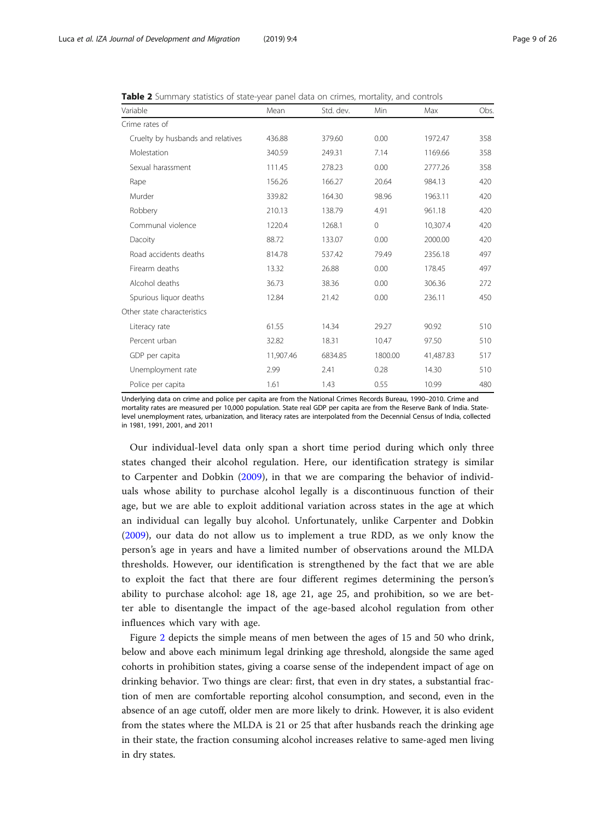<span id="page-8-0"></span>

| Table 2 Summary statistics of state-year panel data on crimes, mortality, and controls |  |  |  |
|----------------------------------------------------------------------------------------|--|--|--|
|----------------------------------------------------------------------------------------|--|--|--|

| Variable                          | Mean      | Std. dev. | Min     | Max       | Obs. |
|-----------------------------------|-----------|-----------|---------|-----------|------|
| Crime rates of                    |           |           |         |           |      |
| Cruelty by husbands and relatives | 436.88    | 379.60    | 0.00    | 1972.47   | 358  |
| Molestation                       | 340.59    | 249.31    | 7.14    | 1169.66   | 358  |
| Sexual harassment                 | 111.45    | 278.23    | 0.00    | 2777.26   | 358  |
| Rape                              | 156.26    | 166.27    | 20.64   | 984.13    | 420  |
| Murder                            | 339.82    | 164.30    | 98.96   | 1963.11   | 420  |
| Robbery                           | 210.13    | 138.79    | 4.91    | 961.18    | 420  |
| Communal violence                 | 1220.4    | 1268.1    | $\circ$ | 10,307.4  | 420  |
| Dacoity                           | 88.72     | 133.07    | 0.00    | 2000.00   | 420  |
| Road accidents deaths             | 814.78    | 537.42    | 79.49   | 2356.18   | 497  |
| Firearm deaths                    | 13.32     | 26.88     | 0.00    | 178.45    | 497  |
| Alcohol deaths                    | 36.73     | 38.36     | 0.00    | 306.36    | 272  |
| Spurious liquor deaths            | 12.84     | 21.42     | 0.00    | 236.11    | 450  |
| Other state characteristics       |           |           |         |           |      |
| Literacy rate                     | 61.55     | 14.34     | 29.27   | 90.92     | 510  |
| Percent urban                     | 32.82     | 18.31     | 10.47   | 97.50     | 510  |
| GDP per capita                    | 11,907.46 | 6834.85   | 1800.00 | 41,487.83 | 517  |
| Unemployment rate                 | 2.99      | 2.41      | 0.28    | 14.30     | 510  |
| Police per capita                 | 1.61      | 1.43      | 0.55    | 10.99     | 480  |

Underlying data on crime and police per capita are from the National Crimes Records Bureau, 1990–2010. Crime and mortality rates are measured per 10,000 population. State real GDP per capita are from the Reserve Bank of India. Statelevel unemployment rates, urbanization, and literacy rates are interpolated from the Decennial Census of India, collected in 1981, 1991, 2001, and 2011

Our individual-level data only span a short time period during which only three states changed their alcohol regulation. Here, our identification strategy is similar to Carpenter and Dobkin [\(2009](#page-24-0)), in that we are comparing the behavior of individuals whose ability to purchase alcohol legally is a discontinuous function of their age, but we are able to exploit additional variation across states in the age at which an individual can legally buy alcohol. Unfortunately, unlike Carpenter and Dobkin ([2009\)](#page-24-0), our data do not allow us to implement a true RDD, as we only know the person's age in years and have a limited number of observations around the MLDA thresholds. However, our identification is strengthened by the fact that we are able to exploit the fact that there are four different regimes determining the person's ability to purchase alcohol: age 18, age 21, age 25, and prohibition, so we are better able to disentangle the impact of the age-based alcohol regulation from other influences which vary with age.

Figure [2](#page-9-0) depicts the simple means of men between the ages of 15 and 50 who drink, below and above each minimum legal drinking age threshold, alongside the same aged cohorts in prohibition states, giving a coarse sense of the independent impact of age on drinking behavior. Two things are clear: first, that even in dry states, a substantial fraction of men are comfortable reporting alcohol consumption, and second, even in the absence of an age cutoff, older men are more likely to drink. However, it is also evident from the states where the MLDA is 21 or 25 that after husbands reach the drinking age in their state, the fraction consuming alcohol increases relative to same-aged men living in dry states.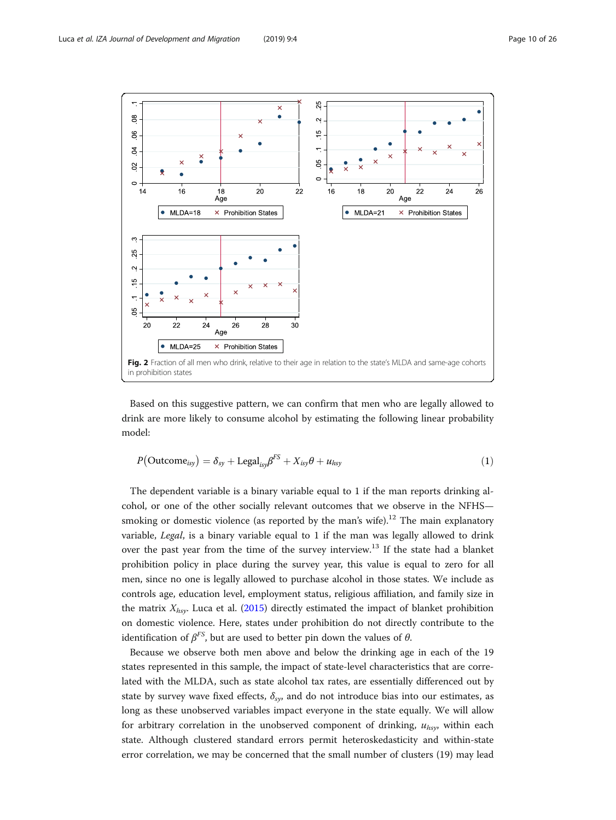<span id="page-9-0"></span>

Based on this suggestive pattern, we can confirm that men who are legally allowed to drink are more likely to consume alcohol by estimating the following linear probability model:

$$
P(\text{Outcome}_{isy}) = \delta_{sy} + \text{legal}_{isy}\beta^{FS} + X_{isy}\theta + u_{hsy}
$$
 (1)

The dependent variable is a binary variable equal to 1 if the man reports drinking alcohol, or one of the other socially relevant outcomes that we observe in the NFHS smoking or domestic violence (as reported by the man's wife).<sup>12</sup> The main explanatory variable, Legal, is a binary variable equal to 1 if the man was legally allowed to drink over the past year from the time of the survey interview.<sup>13</sup> If the state had a blanket prohibition policy in place during the survey year, this value is equal to zero for all men, since no one is legally allowed to purchase alcohol in those states. We include as controls age, education level, employment status, religious affiliation, and family size in the matrix  $X_{hsv}$ . Luca et al. ([2015\)](#page-25-0) directly estimated the impact of blanket prohibition on domestic violence. Here, states under prohibition do not directly contribute to the identification of  $\beta$ <sup>FS</sup>, but are used to better pin down the values of  $\theta$ .

Because we observe both men above and below the drinking age in each of the 19 states represented in this sample, the impact of state-level characteristics that are correlated with the MLDA, such as state alcohol tax rates, are essentially differenced out by state by survey wave fixed effects,  $\delta_{\rm syl}$  and do not introduce bias into our estimates, as long as these unobserved variables impact everyone in the state equally. We will allow for arbitrary correlation in the unobserved component of drinking,  $u_{hsv}$ , within each state. Although clustered standard errors permit heteroskedasticity and within-state error correlation, we may be concerned that the small number of clusters (19) may lead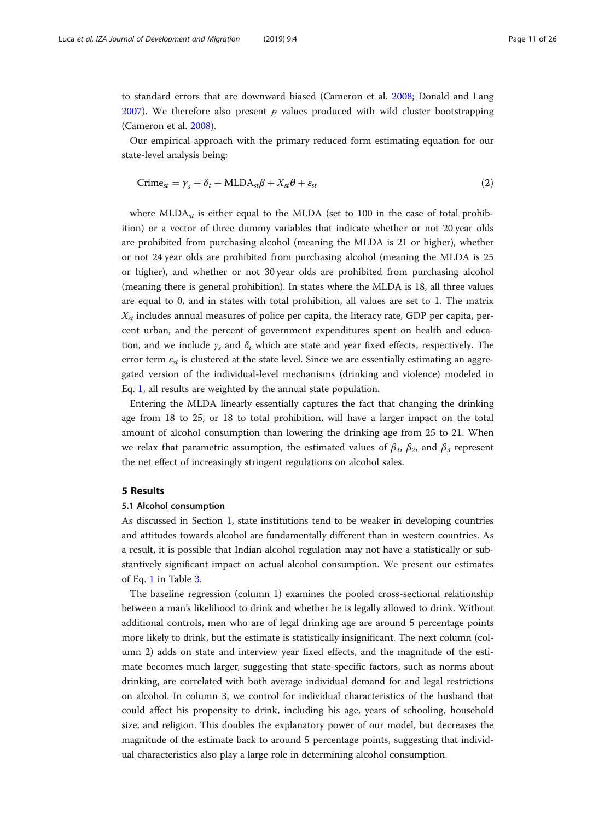<span id="page-10-0"></span>to standard errors that are downward biased (Cameron et al. [2008;](#page-24-0) Donald and Lang [2007](#page-24-0)). We therefore also present  $p$  values produced with wild cluster bootstrapping (Cameron et al. [2008\)](#page-24-0).

Our empirical approach with the primary reduced form estimating equation for our state-level analysis being:

$$
Crime_{st} = \gamma_s + \delta_t + \text{MLDA}_{st}\beta + X_{st}\theta + \varepsilon_{st}
$$
\n<sup>(2)</sup>

where MLDA<sub>st</sub> is either equal to the MLDA (set to 100 in the case of total prohibition) or a vector of three dummy variables that indicate whether or not 20 year olds are prohibited from purchasing alcohol (meaning the MLDA is 21 or higher), whether or not 24 year olds are prohibited from purchasing alcohol (meaning the MLDA is 25 or higher), and whether or not 30 year olds are prohibited from purchasing alcohol (meaning there is general prohibition). In states where the MLDA is 18, all three values are equal to 0, and in states with total prohibition, all values are set to 1. The matrix  $X_{st}$  includes annual measures of police per capita, the literacy rate, GDP per capita, percent urban, and the percent of government expenditures spent on health and education, and we include  $\gamma_s$  and  $\delta_t$  which are state and year fixed effects, respectively. The error term  $\varepsilon_{st}$  is clustered at the state level. Since we are essentially estimating an aggregated version of the individual-level mechanisms (drinking and violence) modeled in Eq. [1](#page-9-0), all results are weighted by the annual state population.

Entering the MLDA linearly essentially captures the fact that changing the drinking age from 18 to 25, or 18 to total prohibition, will have a larger impact on the total amount of alcohol consumption than lowering the drinking age from 25 to 21. When we relax that parametric assumption, the estimated values of  $\beta_1$ ,  $\beta_2$ , and  $\beta_3$  represent the net effect of increasingly stringent regulations on alcohol sales.

#### 5 Results

#### 5.1 Alcohol consumption

As discussed in Section [1](#page-0-0), state institutions tend to be weaker in developing countries and attitudes towards alcohol are fundamentally different than in western countries. As a result, it is possible that Indian alcohol regulation may not have a statistically or substantively significant impact on actual alcohol consumption. We present our estimates of Eq. [1](#page-9-0) in Table [3](#page-11-0).

The baseline regression (column 1) examines the pooled cross-sectional relationship between a man's likelihood to drink and whether he is legally allowed to drink. Without additional controls, men who are of legal drinking age are around 5 percentage points more likely to drink, but the estimate is statistically insignificant. The next column (column 2) adds on state and interview year fixed effects, and the magnitude of the estimate becomes much larger, suggesting that state-specific factors, such as norms about drinking, are correlated with both average individual demand for and legal restrictions on alcohol. In column 3, we control for individual characteristics of the husband that could affect his propensity to drink, including his age, years of schooling, household size, and religion. This doubles the explanatory power of our model, but decreases the magnitude of the estimate back to around 5 percentage points, suggesting that individual characteristics also play a large role in determining alcohol consumption.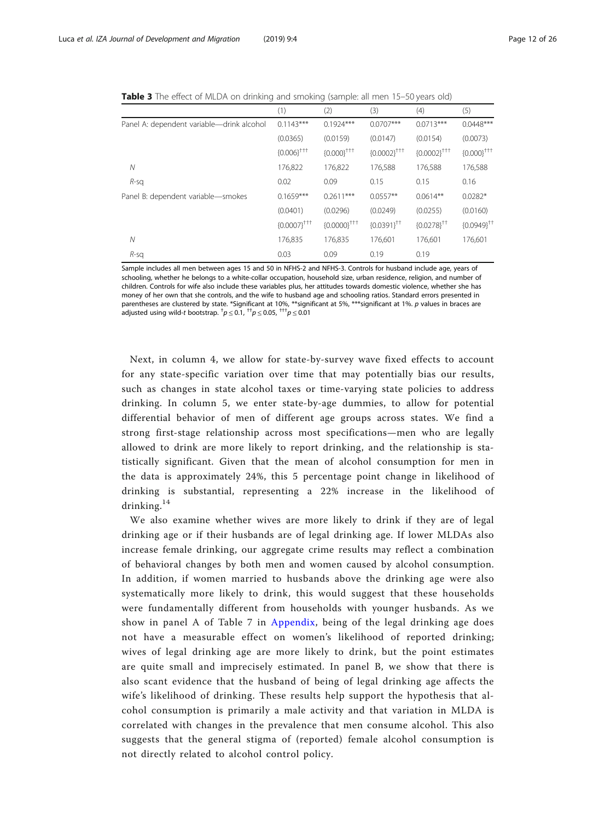<span id="page-11-0"></span>

| <b>Table 3</b> The effect of MLDA on drinking and smoking (sample: all men 15-50 years old) |  |                   |     |
|---------------------------------------------------------------------------------------------|--|-------------------|-----|
|                                                                                             |  | $(2)$ $(3)$ $(4)$ | (5) |

|                                           | (1)                       | (2)                       | (3)                       | (4)                       | (5)                      |
|-------------------------------------------|---------------------------|---------------------------|---------------------------|---------------------------|--------------------------|
| Panel A: dependent variable-drink alcohol | $0.1143***$               | $0.1924***$               | $0.0707***$               | $0.0713***$               | $0.0448***$              |
|                                           | (0.0365)                  | (0.0159)                  | (0.0147)                  | (0.0154)                  | (0.0073)                 |
|                                           | ${0.006}$ <sup>+++</sup>  | ${0.000}$ <sup>+++</sup>  | ${0.0002}$ <sup>+++</sup> | ${0.0002}$ <sup>+++</sup> | ${0.000}$ <sup>+++</sup> |
| N                                         | 176,822                   | 176,822                   | 176,588                   | 176,588                   | 176,588                  |
| $R$ -sq                                   | 0.02                      | 0.09                      | 0.15                      | 0.15                      | 0.16                     |
| Panel B: dependent variable-smokes        | $0.1659***$               | $0.2611***$               | $0.0557**$                | $0.0614**$                | $0.0282*$                |
|                                           | (0.0401)                  | (0.0296)                  | (0.0249)                  | (0.0255)                  | (0.0160)                 |
|                                           | ${0.0007}$ <sup>+++</sup> | ${0.0000}$ <sup>+++</sup> | ${0.0391}$ <sup>++</sup>  | ${0.0278}$ <sup>††</sup>  | ${0.0949}^{+1}$          |
| Ν                                         | 176,835                   | 176,835                   | 176,601                   | 176,601                   | 176,601                  |
| $R-Sq$                                    | 0.03                      | 0.09                      | 0.19                      | 0.19                      |                          |

Sample includes all men between ages 15 and 50 in NFHS-2 and NFHS-3. Controls for husband include age, years of schooling, whether he belongs to a white-collar occupation, household size, urban residence, religion, and number of children. Controls for wife also include these variables plus, her attitudes towards domestic violence, whether she has money of her own that she controls, and the wife to husband age and schooling ratios. Standard errors presented in parentheses are clustered by state. \*Significant at 10%, \*\*significant at 5%, \*\*\*significant at 1%. p values in braces are adjusted using wild-t bootstrap.  $\frac{1}{p} \le 0.1$ ,  $\frac{1}{p} \le 0.05$ ,  $\frac{1}{1+p} \le 0.01$ 

Next, in column 4, we allow for state-by-survey wave fixed effects to account for any state-specific variation over time that may potentially bias our results, such as changes in state alcohol taxes or time-varying state policies to address drinking. In column 5, we enter state-by-age dummies, to allow for potential differential behavior of men of different age groups across states. We find a strong first-stage relationship across most specifications—men who are legally allowed to drink are more likely to report drinking, and the relationship is statistically significant. Given that the mean of alcohol consumption for men in the data is approximately 24%, this 5 percentage point change in likelihood of drinking is substantial, representing a 22% increase in the likelihood of drinking.<sup>14</sup>

We also examine whether wives are more likely to drink if they are of legal drinking age or if their husbands are of legal drinking age. If lower MLDAs also increase female drinking, our aggregate crime results may reflect a combination of behavioral changes by both men and women caused by alcohol consumption. In addition, if women married to husbands above the drinking age were also systematically more likely to drink, this would suggest that these households were fundamentally different from households with younger husbands. As we show in panel A of Table 7 in [Appendix](#page-21-0), being of the legal drinking age does not have a measurable effect on women's likelihood of reported drinking; wives of legal drinking age are more likely to drink, but the point estimates are quite small and imprecisely estimated. In panel B, we show that there is also scant evidence that the husband of being of legal drinking age affects the wife's likelihood of drinking. These results help support the hypothesis that alcohol consumption is primarily a male activity and that variation in MLDA is correlated with changes in the prevalence that men consume alcohol. This also suggests that the general stigma of (reported) female alcohol consumption is not directly related to alcohol control policy.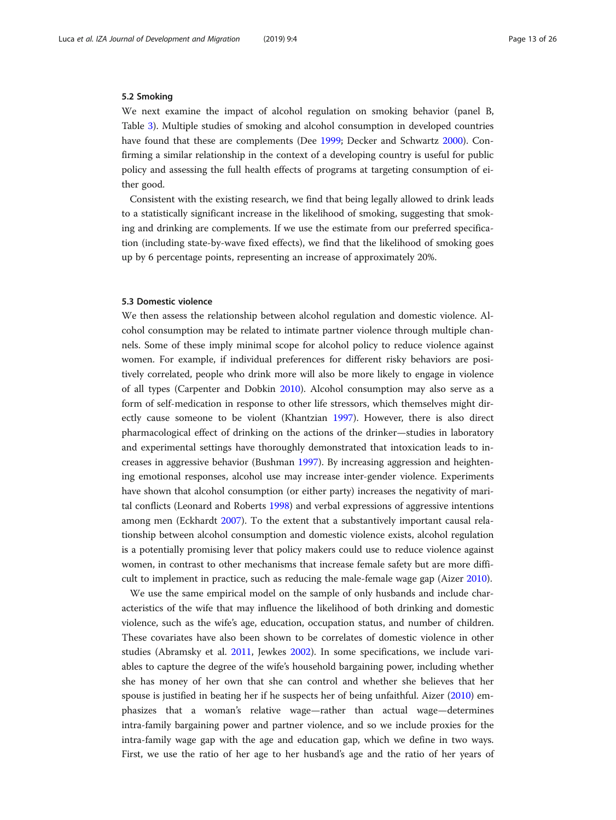#### 5.2 Smoking

We next examine the impact of alcohol regulation on smoking behavior (panel B, Table [3\)](#page-11-0). Multiple studies of smoking and alcohol consumption in developed countries have found that these are complements (Dee [1999;](#page-24-0) Decker and Schwartz [2000\)](#page-24-0). Confirming a similar relationship in the context of a developing country is useful for public policy and assessing the full health effects of programs at targeting consumption of either good.

Consistent with the existing research, we find that being legally allowed to drink leads to a statistically significant increase in the likelihood of smoking, suggesting that smoking and drinking are complements. If we use the estimate from our preferred specification (including state-by-wave fixed effects), we find that the likelihood of smoking goes up by 6 percentage points, representing an increase of approximately 20%.

### 5.3 Domestic violence

We then assess the relationship between alcohol regulation and domestic violence. Alcohol consumption may be related to intimate partner violence through multiple channels. Some of these imply minimal scope for alcohol policy to reduce violence against women. For example, if individual preferences for different risky behaviors are positively correlated, people who drink more will also be more likely to engage in violence of all types (Carpenter and Dobkin [2010](#page-24-0)). Alcohol consumption may also serve as a form of self-medication in response to other life stressors, which themselves might directly cause someone to be violent (Khantzian [1997\)](#page-25-0). However, there is also direct pharmacological effect of drinking on the actions of the drinker—studies in laboratory and experimental settings have thoroughly demonstrated that intoxication leads to increases in aggressive behavior (Bushman [1997\)](#page-24-0). By increasing aggression and heightening emotional responses, alcohol use may increase inter-gender violence. Experiments have shown that alcohol consumption (or either party) increases the negativity of marital conflicts (Leonard and Roberts [1998](#page-25-0)) and verbal expressions of aggressive intentions among men (Eckhardt [2007](#page-24-0)). To the extent that a substantively important causal relationship between alcohol consumption and domestic violence exists, alcohol regulation is a potentially promising lever that policy makers could use to reduce violence against women, in contrast to other mechanisms that increase female safety but are more difficult to implement in practice, such as reducing the male-female wage gap (Aizer [2010\)](#page-24-0).

We use the same empirical model on the sample of only husbands and include characteristics of the wife that may influence the likelihood of both drinking and domestic violence, such as the wife's age, education, occupation status, and number of children. These covariates have also been shown to be correlates of domestic violence in other studies (Abramsky et al. [2011](#page-24-0), Jewkes [2002\)](#page-25-0). In some specifications, we include variables to capture the degree of the wife's household bargaining power, including whether she has money of her own that she can control and whether she believes that her spouse is justified in beating her if he suspects her of being unfaithful. Aizer ([2010](#page-24-0)) emphasizes that a woman's relative wage—rather than actual wage—determines intra-family bargaining power and partner violence, and so we include proxies for the intra-family wage gap with the age and education gap, which we define in two ways. First, we use the ratio of her age to her husband's age and the ratio of her years of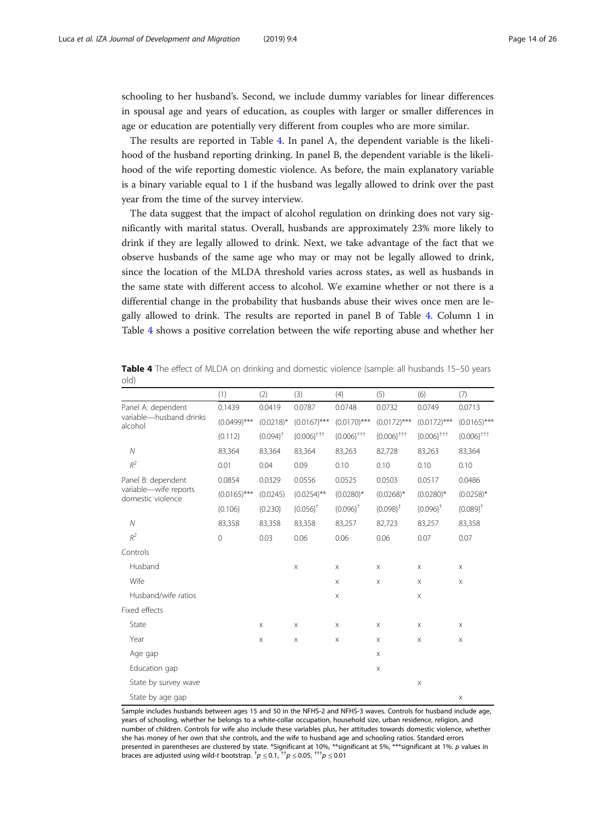<span id="page-13-0"></span>schooling to her husband's. Second, we include dummy variables for linear differences in spousal age and years of education, as couples with larger or smaller differences in age or education are potentially very different from couples who are more similar.

The results are reported in Table 4. In panel A, the dependent variable is the likelihood of the husband reporting drinking. In panel B, the dependent variable is the likelihood of the wife reporting domestic violence. As before, the main explanatory variable is a binary variable equal to 1 if the husband was legally allowed to drink over the past year from the time of the survey interview.

The data suggest that the impact of alcohol regulation on drinking does not vary significantly with marital status. Overall, husbands are approximately 23% more likely to drink if they are legally allowed to drink. Next, we take advantage of the fact that we observe husbands of the same age who may or may not be legally allowed to drink, since the location of the MLDA threshold varies across states, as well as husbands in the same state with different access to alcohol. We examine whether or not there is a differential change in the probability that husbands abuse their wives once men are legally allowed to drink. The results are reported in panel B of Table 4. Column 1 in Table 4 shows a positive correlation between the wife reporting abuse and whether her

|                                                                  | (1)            | (2)                   | (3)                      | (4)                      | (5)                      | (6)                      | (7)                      |
|------------------------------------------------------------------|----------------|-----------------------|--------------------------|--------------------------|--------------------------|--------------------------|--------------------------|
| Panel A: dependent                                               | 0.1439         | 0.0419                | 0.0787                   | 0.0748                   | 0.0732                   | 0.0749                   | 0.0713                   |
| variable-husband drinks<br>alcohol                               | $(0.0499)$ *** | $(0.0218)^*$          | $(0.0167)$ ***           | $(0.0170)$ ***           | $(0.0172)$ ***           | $(0.0172)$ ***           | $(0.0165)$ ***           |
|                                                                  | ${0.112}$      | ${0.094}^{\dagger}$   | ${0.006}$ <sup>+++</sup> | ${0.006}$ <sup>+++</sup> | ${0.006}$ <sup>+++</sup> | ${0.006}$ <sup>+++</sup> | ${0.006}$ <sup>+++</sup> |
| $\mathcal N$                                                     | 83,364         | 83,364                | 83,364                   | 83,263                   | 82,728                   | 83,263                   | 83,364                   |
| $R^2$                                                            | 0.01           | 0.04                  | 0.09                     | 0.10                     | 0.10                     | 0.10                     | 0.10                     |
| Panel B: dependent<br>variable-wife reports<br>domestic violence | 0.0854         | 0.0329                | 0.0556                   | 0.0525                   | 0.0503                   | 0.0517                   | 0.0486                   |
|                                                                  | $(0.0165)$ *** | (0.0245)              | $(0.0254)$ **            | $(0.0280)$ *             | $(0.0268)$ *             | $(0.0280)$ *             | $(0.0258)$ *             |
|                                                                  | ${0.106}$      | ${0.230}$             | ${0.056}$ <sup>+</sup>   | ${0.096}$ <sup>+</sup>   | ${0.098}^{\dagger}$      | ${0.096}^{\dagger}$      | ${0.089}^{\dagger}$      |
| $\overline{N}$                                                   | 83,358         | 83,358                | 83,358                   | 83,257                   | 82,723                   | 83,257                   | 83,358                   |
| $R^2$                                                            | $\overline{0}$ | 0.03                  | 0.06                     | 0.06                     | 0.06                     | 0.07                     | 0.07                     |
| Controls                                                         |                |                       |                          |                          |                          |                          |                          |
| Husband                                                          |                |                       | $\mathsf X$              | $\mathsf X$              | X                        | $\mathsf X$              | X                        |
| Wife                                                             |                |                       |                          | $\times$                 | $\times$                 | $\mathsf X$              | X                        |
| Husband/wife ratios                                              |                |                       |                          | $\boldsymbol{\times}$    |                          | $\mathsf X$              |                          |
| Fixed effects                                                    |                |                       |                          |                          |                          |                          |                          |
| State                                                            |                | $\times$              | $\times$                 | $\times$                 | $\times$                 | $\times$                 | $\times$                 |
| Year                                                             |                | $\boldsymbol{\times}$ | $\times$                 | $\times$                 | $\times$                 | $\mathsf X$              | $\mathsf X$              |
| Age gap                                                          |                |                       |                          |                          | $\times$                 |                          |                          |
| Education gap                                                    |                |                       |                          |                          | X                        |                          |                          |
| State by survey wave                                             |                |                       |                          |                          |                          | $\times$                 |                          |
| State by age gap                                                 |                |                       |                          |                          |                          |                          | $\boldsymbol{\times}$    |

Table 4 The effect of MLDA on drinking and domestic violence (sample: all husbands 15–50 years old)

Sample includes husbands between ages 15 and 50 in the NFHS-2 and NFHS-3 waves. Controls for husband include age, years of schooling, whether he belongs to a white-collar occupation, household size, urban residence, religion, and number of children. Controls for wife also include these variables plus, her attitudes towards domestic violence, whether she has money of her own that she controls, and the wife to husband age and schooling ratios. Standard errors presented in parentheses are clustered by state. \*Significant at 10%, \*\*significant at 5%, \*\*\*significant at 1%. p values in braces are adjusted using wild-t bootstrap.  $\frac{1}{T}p \leq 0.1$ ,  $\frac{1}{T}$   $\frac{1}{T}p \leq 0.05$ ,  $\frac{1}{T}$   $\frac{1}{T}p \leq 0.01$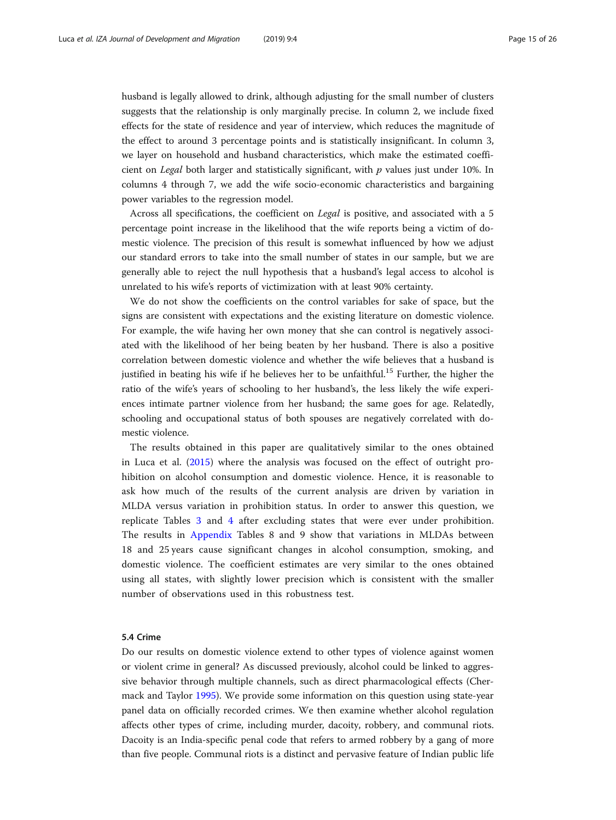husband is legally allowed to drink, although adjusting for the small number of clusters suggests that the relationship is only marginally precise. In column 2, we include fixed effects for the state of residence and year of interview, which reduces the magnitude of the effect to around 3 percentage points and is statistically insignificant. In column 3, we layer on household and husband characteristics, which make the estimated coefficient on Legal both larger and statistically significant, with  $p$  values just under 10%. In columns 4 through 7, we add the wife socio-economic characteristics and bargaining power variables to the regression model.

Across all specifications, the coefficient on Legal is positive, and associated with a 5 percentage point increase in the likelihood that the wife reports being a victim of domestic violence. The precision of this result is somewhat influenced by how we adjust our standard errors to take into the small number of states in our sample, but we are generally able to reject the null hypothesis that a husband's legal access to alcohol is unrelated to his wife's reports of victimization with at least 90% certainty.

We do not show the coefficients on the control variables for sake of space, but the signs are consistent with expectations and the existing literature on domestic violence. For example, the wife having her own money that she can control is negatively associated with the likelihood of her being beaten by her husband. There is also a positive correlation between domestic violence and whether the wife believes that a husband is justified in beating his wife if he believes her to be unfaithful.<sup>15</sup> Further, the higher the ratio of the wife's years of schooling to her husband's, the less likely the wife experiences intimate partner violence from her husband; the same goes for age. Relatedly, schooling and occupational status of both spouses are negatively correlated with domestic violence.

The results obtained in this paper are qualitatively similar to the ones obtained in Luca et al. [\(2015](#page-25-0)) where the analysis was focused on the effect of outright prohibition on alcohol consumption and domestic violence. Hence, it is reasonable to ask how much of the results of the current analysis are driven by variation in MLDA versus variation in prohibition status. In order to answer this question, we replicate Tables [3](#page-11-0) and [4](#page-13-0) after excluding states that were ever under prohibition. The results in [Appendix](#page-21-0) Tables 8 and 9 show that variations in MLDAs between 18 and 25 years cause significant changes in alcohol consumption, smoking, and domestic violence. The coefficient estimates are very similar to the ones obtained using all states, with slightly lower precision which is consistent with the smaller number of observations used in this robustness test.

#### 5.4 Crime

Do our results on domestic violence extend to other types of violence against women or violent crime in general? As discussed previously, alcohol could be linked to aggressive behavior through multiple channels, such as direct pharmacological effects (Chermack and Taylor [1995\)](#page-24-0). We provide some information on this question using state-year panel data on officially recorded crimes. We then examine whether alcohol regulation affects other types of crime, including murder, dacoity, robbery, and communal riots. Dacoity is an India-specific penal code that refers to armed robbery by a gang of more than five people. Communal riots is a distinct and pervasive feature of Indian public life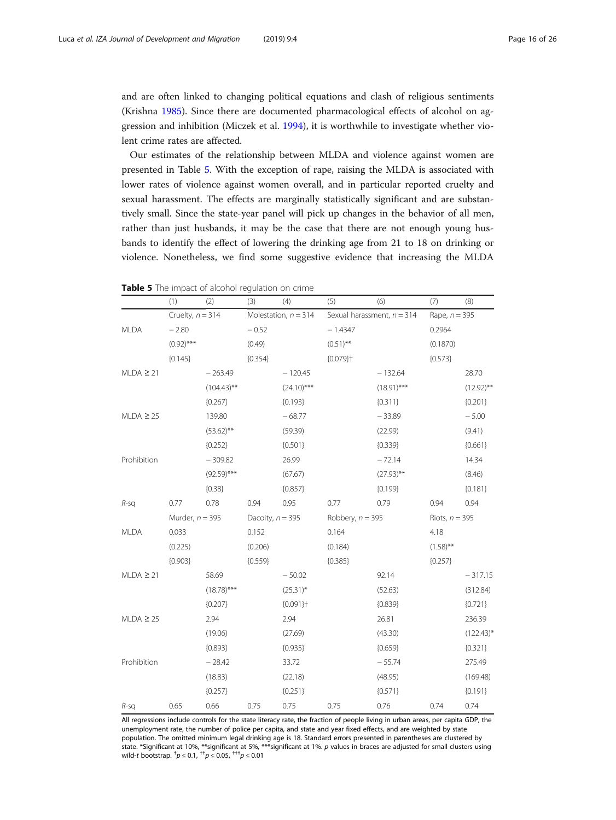and are often linked to changing political equations and clash of religious sentiments (Krishna [1985\)](#page-25-0). Since there are documented pharmacological effects of alcohol on aggression and inhibition (Miczek et al. [1994\)](#page-25-0), it is worthwhile to investigate whether violent crime rates are affected.

Our estimates of the relationship between MLDA and violence against women are presented in Table 5. With the exception of rape, raising the MLDA is associated with lower rates of violence against women overall, and in particular reported cruelty and sexual harassment. The effects are marginally statistically significant and are substantively small. Since the state-year panel will pick up changes in the behavior of all men, rather than just husbands, it may be the case that there are not enough young husbands to identify the effect of lowering the drinking age from 21 to 18 on drinking or violence. Nonetheless, we find some suggestive evidence that increasing the MLDA

|                | (1)                | (2)           | (3)                | (4)                    | (5)                | (6)                          | (7)              | (8)          |
|----------------|--------------------|---------------|--------------------|------------------------|--------------------|------------------------------|------------------|--------------|
|                | Cruelty, $n = 314$ |               |                    | Molestation, $n = 314$ |                    | Sexual harassment, $n = 314$ | Rape, $n = 395$  |              |
| <b>MLDA</b>    | $-2.80$            |               | $-0.52$            |                        | $-1.4347$          |                              | 0.2964           |              |
|                | $(0.92)$ ***       |               | (0.49)             |                        | $(0.51)$ **        |                              | (0.1870)         |              |
|                | ${0.145}$          |               | ${0.354}$          |                        | ${0.079}$ +        |                              | ${0.573}$        |              |
| $MLDA \geq 21$ |                    | $-263.49$     |                    | $-120.45$              |                    | $-132.64$                    |                  | 28.70        |
|                |                    | $(104.43)$ ** |                    | $(24.10)$ ***          |                    | $(18.91)$ ***                |                  | $(12.92)$ ** |
|                |                    | ${0.267}$     |                    | ${0.193}$              |                    | ${0.311}$                    |                  | ${0.201}$    |
| $MLDA \geq 25$ |                    | 139.80        |                    | $-68.77$               |                    | $-33.89$                     |                  | $-5.00$      |
|                |                    | $(53.62)$ **  |                    | (59.39)                |                    | (22.99)                      |                  | (9.41)       |
|                |                    | ${0.252}$     |                    | ${0.501}$              |                    | ${0.339}$                    |                  | ${0.661}$    |
| Prohibition    |                    | $-309.82$     |                    | 26.99                  |                    | $-72.14$                     |                  | 14.34        |
|                |                    | $(92.59)$ *** |                    | (67.67)                |                    | $(27.93)$ **                 |                  | (8.46)       |
|                |                    | ${0.38}$      |                    | ${0.857}$              |                    | ${0.199}$                    |                  | ${0.181}$    |
| $R-Sq$         | 0.77               | 0.78          | 0.94               | 0.95                   | 0.77               | 0.79                         | 0.94             | 0.94         |
|                | Murder, $n = 395$  |               | Dacoity, $n = 395$ |                        | Robbery, $n = 395$ |                              | Riots, $n = 395$ |              |
| <b>MLDA</b>    | 0.033              |               | 0.152              |                        | 0.164              |                              | 4.18             |              |
|                | (0.225)            |               | (0.206)            |                        | (0.184)            |                              | $(1.58)$ **      |              |
|                | ${0.903}$          |               | ${0.559}$          |                        | ${0.385}$          |                              | ${0.257}$        |              |
| $MLDA \geq 21$ |                    | 58.69         |                    | $-50.02$               |                    | 92.14                        |                  | $-317.15$    |
|                |                    | $(18.78)$ *** |                    | $(25.31)^*$            |                    | (52.63)                      |                  | (312.84)     |
|                |                    | ${0.207}$     |                    | ${0.091}$ +            |                    | ${0.839}$                    |                  | ${0.721}$    |
| $MLDA \geq 25$ |                    | 2.94          |                    | 2.94                   |                    | 26.81                        |                  | 236.39       |
|                |                    | (19.06)       |                    | (27.69)                |                    | (43.30)                      |                  | $(122.43)^*$ |
|                |                    | ${0.893}$     |                    | ${0.935}$              |                    | ${0.659}$                    |                  | ${0.321}$    |
| Prohibition    |                    | $-28.42$      |                    | 33.72                  |                    | $-55.74$                     |                  | 275.49       |
|                |                    | (18.83)       |                    | (22.18)                |                    | (48.95)                      |                  | (169.48)     |
|                |                    | ${0.257}$     |                    | ${0.251}$              |                    | ${0.571}$                    |                  | ${0.191}$    |
| R-sa           | 0.65               | 0.66          | 0.75               | 0.75                   | 0.75               | 0.76                         | 0.74             | 0.74         |

Table 5 The impact of alcohol regulation on crime

All regressions include controls for the state literacy rate, the fraction of people living in urban areas, per capita GDP, the unemployment rate, the number of police per capita, and state and year fixed effects, and are weighted by state population. The omitted minimum legal drinking age is 18. Standard errors presented in parentheses are clustered by state. \*Significant at 10%, \*\*significant at 5%, \*\*\*significant at 1%. p values in braces are adjusted for small clusters using wild-t bootstrap.  $^{+}p \le 0.1, ^{++}p \le 0.05, ^{+++}p \le 0.01$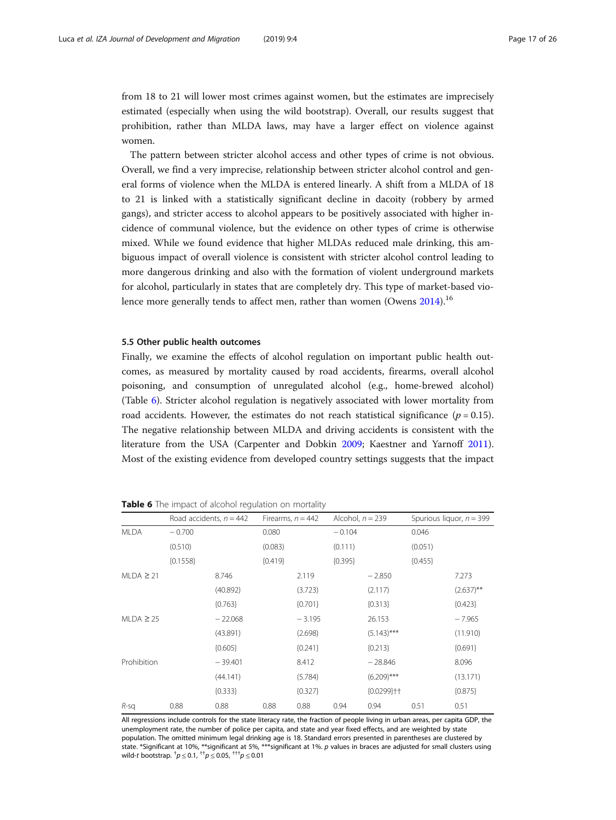from 18 to 21 will lower most crimes against women, but the estimates are imprecisely estimated (especially when using the wild bootstrap). Overall, our results suggest that prohibition, rather than MLDA laws, may have a larger effect on violence against women.

The pattern between stricter alcohol access and other types of crime is not obvious. Overall, we find a very imprecise, relationship between stricter alcohol control and general forms of violence when the MLDA is entered linearly. A shift from a MLDA of 18 to 21 is linked with a statistically significant decline in dacoity (robbery by armed gangs), and stricter access to alcohol appears to be positively associated with higher incidence of communal violence, but the evidence on other types of crime is otherwise mixed. While we found evidence that higher MLDAs reduced male drinking, this ambiguous impact of overall violence is consistent with stricter alcohol control leading to more dangerous drinking and also with the formation of violent underground markets for alcohol, particularly in states that are completely dry. This type of market-based violence more generally tends to affect men, rather than women (Owens  $2014$ ).<sup>16</sup>

### 5.5 Other public health outcomes

Finally, we examine the effects of alcohol regulation on important public health outcomes, as measured by mortality caused by road accidents, firearms, overall alcohol poisoning, and consumption of unregulated alcohol (e.g., home-brewed alcohol) (Table 6). Stricter alcohol regulation is negatively associated with lower mortality from road accidents. However, the estimates do not reach statistical significance ( $p = 0.15$ ). The negative relationship between MLDA and driving accidents is consistent with the literature from the USA (Carpenter and Dobkin [2009](#page-24-0); Kaestner and Yarnoff [2011](#page-25-0)). Most of the existing evidence from developed country settings suggests that the impact

|                |            | Road accidents, $n = 442$ | Firearms, $n = 442$ |           | Alcohol, $n = 239$ |                | Spurious liquor, $n = 399$ |              |
|----------------|------------|---------------------------|---------------------|-----------|--------------------|----------------|----------------------------|--------------|
| <b>MLDA</b>    | $-0.700$   |                           | 0.080               |           | $-0.104$           |                | 0.046                      |              |
|                | (0.510)    |                           | (0.083)             |           | (0.111)            |                | (0.051)                    |              |
|                | ${0.1558}$ |                           | ${0.419}$           |           | ${0.395}$          |                | ${0.455}$                  |              |
| $MLDA \geq 21$ |            | 8.746                     |                     | 2.119     |                    | $-2.850$       |                            | 7.273        |
|                |            | (40.892)                  |                     | (3.723)   |                    | (2.117)        |                            | $(2.637)$ ** |
|                |            | ${0.763}$                 |                     | ${0.701}$ |                    | ${0.313}$      |                            | ${0.423}$    |
| $MLDA \geq 25$ |            | $-22.068$                 |                     | $-3.195$  |                    | 26.153         |                            | $-7.965$     |
|                |            | (43.891)                  |                     | (2.698)   |                    | $(5.143)$ ***  |                            | (11.910)     |
|                |            | ${0.605}$                 |                     | ${0.241}$ |                    | ${0.213}$      |                            | ${0.691}$    |
| Prohibition    |            | $-39,401$                 |                     | 8.412     |                    | $-28.846$      |                            | 8.096        |
|                |            | (44.141)                  |                     | (5.784)   |                    | $(6.209)$ ***  |                            | (13.171)     |
|                |            | ${0.333}$                 |                     | ${0.327}$ |                    | ${0.0299}$ † † |                            | ${0.875}$    |
| $R$ -sa        | 0.88       | 0.88                      | 0.88                | 0.88      | 0.94               | 0.94           | 0.51                       | 0.51         |

Table 6 The impact of alcohol regulation on mortality

All regressions include controls for the state literacy rate, the fraction of people living in urban areas, per capita GDP, the unemployment rate, the number of police per capita, and state and year fixed effects, and are weighted by state population. The omitted minimum legal drinking age is 18. Standard errors presented in parentheses are clustered by state. \*Significant at 10%, \*\*significant at 5%, \*\*\*significant at 1%. p values in braces are adjusted for small clusters using wild-t bootstrap.  $^{+}p \le 0.1, ^{++}p \le 0.05, ^{+++}p \le 0.01$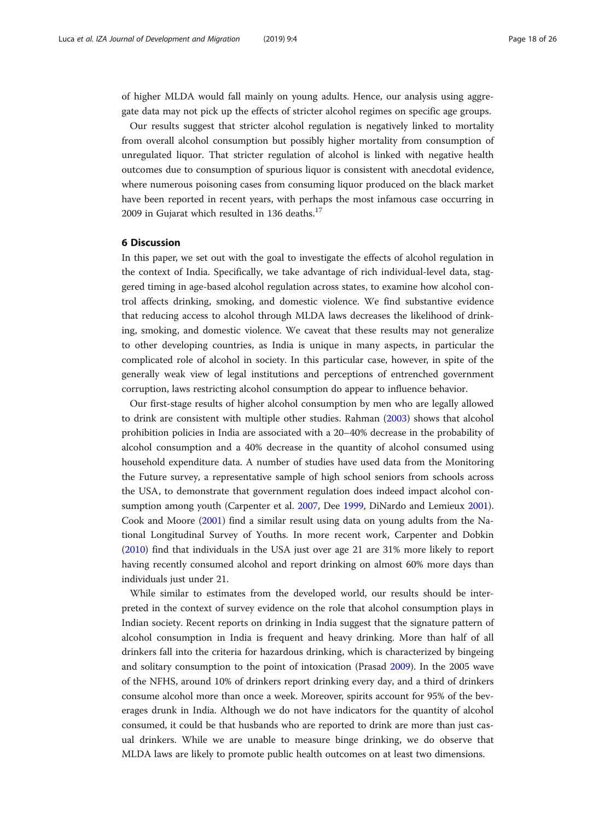<span id="page-17-0"></span>of higher MLDA would fall mainly on young adults. Hence, our analysis using aggregate data may not pick up the effects of stricter alcohol regimes on specific age groups.

Our results suggest that stricter alcohol regulation is negatively linked to mortality from overall alcohol consumption but possibly higher mortality from consumption of unregulated liquor. That stricter regulation of alcohol is linked with negative health outcomes due to consumption of spurious liquor is consistent with anecdotal evidence, where numerous poisoning cases from consuming liquor produced on the black market have been reported in recent years, with perhaps the most infamous case occurring in 2009 in Gujarat which resulted in 136 deaths. $^{17}$ 

#### 6 Discussion

In this paper, we set out with the goal to investigate the effects of alcohol regulation in the context of India. Specifically, we take advantage of rich individual-level data, staggered timing in age-based alcohol regulation across states, to examine how alcohol control affects drinking, smoking, and domestic violence. We find substantive evidence that reducing access to alcohol through MLDA laws decreases the likelihood of drinking, smoking, and domestic violence. We caveat that these results may not generalize to other developing countries, as India is unique in many aspects, in particular the complicated role of alcohol in society. In this particular case, however, in spite of the generally weak view of legal institutions and perceptions of entrenched government corruption, laws restricting alcohol consumption do appear to influence behavior.

Our first-stage results of higher alcohol consumption by men who are legally allowed to drink are consistent with multiple other studies. Rahman ([2003\)](#page-25-0) shows that alcohol prohibition policies in India are associated with a 20–40% decrease in the probability of alcohol consumption and a 40% decrease in the quantity of alcohol consumed using household expenditure data. A number of studies have used data from the Monitoring the Future survey, a representative sample of high school seniors from schools across the USA, to demonstrate that government regulation does indeed impact alcohol consumption among youth (Carpenter et al. [2007,](#page-24-0) Dee [1999,](#page-24-0) DiNardo and Lemieux [2001](#page-24-0)). Cook and Moore [\(2001\)](#page-24-0) find a similar result using data on young adults from the National Longitudinal Survey of Youths. In more recent work, Carpenter and Dobkin ([2010](#page-24-0)) find that individuals in the USA just over age 21 are 31% more likely to report having recently consumed alcohol and report drinking on almost 60% more days than individuals just under 21.

While similar to estimates from the developed world, our results should be interpreted in the context of survey evidence on the role that alcohol consumption plays in Indian society. Recent reports on drinking in India suggest that the signature pattern of alcohol consumption in India is frequent and heavy drinking. More than half of all drinkers fall into the criteria for hazardous drinking, which is characterized by bingeing and solitary consumption to the point of intoxication (Prasad [2009\)](#page-25-0). In the 2005 wave of the NFHS, around 10% of drinkers report drinking every day, and a third of drinkers consume alcohol more than once a week. Moreover, spirits account for 95% of the beverages drunk in India. Although we do not have indicators for the quantity of alcohol consumed, it could be that husbands who are reported to drink are more than just casual drinkers. While we are unable to measure binge drinking, we do observe that MLDA laws are likely to promote public health outcomes on at least two dimensions.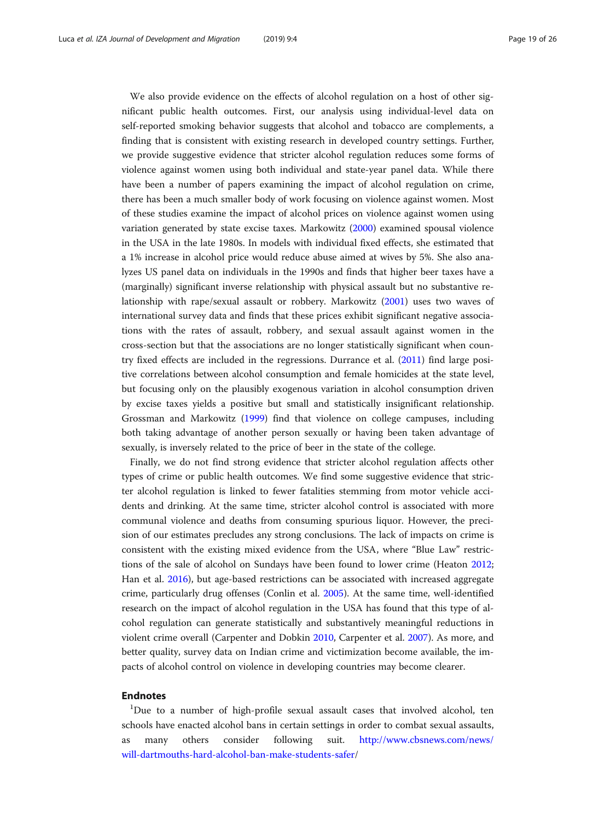We also provide evidence on the effects of alcohol regulation on a host of other significant public health outcomes. First, our analysis using individual-level data on self-reported smoking behavior suggests that alcohol and tobacco are complements, a finding that is consistent with existing research in developed country settings. Further, we provide suggestive evidence that stricter alcohol regulation reduces some forms of violence against women using both individual and state-year panel data. While there have been a number of papers examining the impact of alcohol regulation on crime, there has been a much smaller body of work focusing on violence against women. Most of these studies examine the impact of alcohol prices on violence against women using variation generated by state excise taxes. Markowitz [\(2000\)](#page-25-0) examined spousal violence in the USA in the late 1980s. In models with individual fixed effects, she estimated that a 1% increase in alcohol price would reduce abuse aimed at wives by 5%. She also analyzes US panel data on individuals in the 1990s and finds that higher beer taxes have a (marginally) significant inverse relationship with physical assault but no substantive relationship with rape/sexual assault or robbery. Markowitz ([2001\)](#page-25-0) uses two waves of international survey data and finds that these prices exhibit significant negative associations with the rates of assault, robbery, and sexual assault against women in the cross-section but that the associations are no longer statistically significant when country fixed effects are included in the regressions. Durrance et al. [\(2011\)](#page-24-0) find large positive correlations between alcohol consumption and female homicides at the state level, but focusing only on the plausibly exogenous variation in alcohol consumption driven by excise taxes yields a positive but small and statistically insignificant relationship. Grossman and Markowitz [\(1999\)](#page-24-0) find that violence on college campuses, including both taking advantage of another person sexually or having been taken advantage of sexually, is inversely related to the price of beer in the state of the college.

Finally, we do not find strong evidence that stricter alcohol regulation affects other types of crime or public health outcomes. We find some suggestive evidence that stricter alcohol regulation is linked to fewer fatalities stemming from motor vehicle accidents and drinking. At the same time, stricter alcohol control is associated with more communal violence and deaths from consuming spurious liquor. However, the precision of our estimates precludes any strong conclusions. The lack of impacts on crime is consistent with the existing mixed evidence from the USA, where "Blue Law" restrictions of the sale of alcohol on Sundays have been found to lower crime (Heaton [2012](#page-25-0); Han et al. [2016\)](#page-24-0), but age-based restrictions can be associated with increased aggregate crime, particularly drug offenses (Conlin et al. [2005](#page-24-0)). At the same time, well-identified research on the impact of alcohol regulation in the USA has found that this type of alcohol regulation can generate statistically and substantively meaningful reductions in violent crime overall (Carpenter and Dobkin [2010,](#page-24-0) Carpenter et al. [2007](#page-24-0)). As more, and better quality, survey data on Indian crime and victimization become available, the impacts of alcohol control on violence in developing countries may become clearer.

# Endnotes

<sup>1</sup>Due to a number of high-profile sexual assault cases that involved alcohol, ten schools have enacted alcohol bans in certain settings in order to combat sexual assaults, as many others consider following suit. [http://www.cbsnews.com/news/](http://www.cbsnews.com/news/will-dartmouths-hard-alcohol-ban-make-students-safer) [will-dartmouths-hard-alcohol-ban-make-students-safer](http://www.cbsnews.com/news/will-dartmouths-hard-alcohol-ban-make-students-safer)/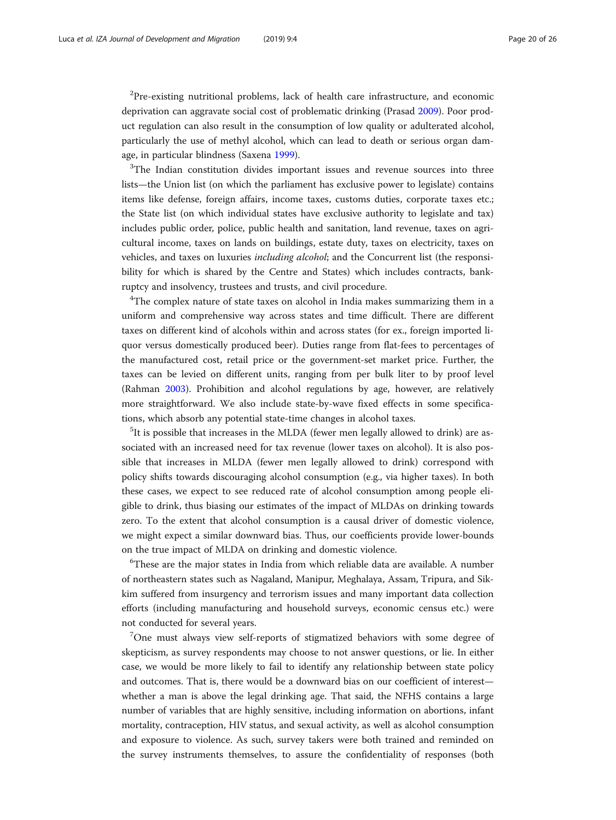<sup>2</sup>Pre-existing nutritional problems, lack of health care infrastructure, and economic deprivation can aggravate social cost of problematic drinking (Prasad [2009](#page-25-0)). Poor product regulation can also result in the consumption of low quality or adulterated alcohol, particularly the use of methyl alcohol, which can lead to death or serious organ damage, in particular blindness (Saxena [1999\)](#page-25-0).

 $3$ The Indian constitution divides important issues and revenue sources into three lists—the Union list (on which the parliament has exclusive power to legislate) contains items like defense, foreign affairs, income taxes, customs duties, corporate taxes etc.; the State list (on which individual states have exclusive authority to legislate and tax) includes public order, police, public health and sanitation, land revenue, taxes on agricultural income, taxes on lands on buildings, estate duty, taxes on electricity, taxes on vehicles, and taxes on luxuries including alcohol; and the Concurrent list (the responsibility for which is shared by the Centre and States) which includes contracts, bankruptcy and insolvency, trustees and trusts, and civil procedure.

<sup>4</sup>The complex nature of state taxes on alcohol in India makes summarizing them in a uniform and comprehensive way across states and time difficult. There are different taxes on different kind of alcohols within and across states (for ex., foreign imported liquor versus domestically produced beer). Duties range from flat-fees to percentages of the manufactured cost, retail price or the government-set market price. Further, the taxes can be levied on different units, ranging from per bulk liter to by proof level (Rahman [2003\)](#page-25-0). Prohibition and alcohol regulations by age, however, are relatively more straightforward. We also include state-by-wave fixed effects in some specifications, which absorb any potential state-time changes in alcohol taxes.

<sup>5</sup>It is possible that increases in the MLDA (fewer men legally allowed to drink) are associated with an increased need for tax revenue (lower taxes on alcohol). It is also possible that increases in MLDA (fewer men legally allowed to drink) correspond with policy shifts towards discouraging alcohol consumption (e.g., via higher taxes). In both these cases, we expect to see reduced rate of alcohol consumption among people eligible to drink, thus biasing our estimates of the impact of MLDAs on drinking towards zero. To the extent that alcohol consumption is a causal driver of domestic violence, we might expect a similar downward bias. Thus, our coefficients provide lower-bounds on the true impact of MLDA on drinking and domestic violence.

<sup>6</sup>These are the major states in India from which reliable data are available. A number of northeastern states such as Nagaland, Manipur, Meghalaya, Assam, Tripura, and Sikkim suffered from insurgency and terrorism issues and many important data collection efforts (including manufacturing and household surveys, economic census etc.) were not conducted for several years.

<sup>7</sup>One must always view self-reports of stigmatized behaviors with some degree of skepticism, as survey respondents may choose to not answer questions, or lie. In either case, we would be more likely to fail to identify any relationship between state policy and outcomes. That is, there would be a downward bias on our coefficient of interest whether a man is above the legal drinking age. That said, the NFHS contains a large number of variables that are highly sensitive, including information on abortions, infant mortality, contraception, HIV status, and sexual activity, as well as alcohol consumption and exposure to violence. As such, survey takers were both trained and reminded on the survey instruments themselves, to assure the confidentiality of responses (both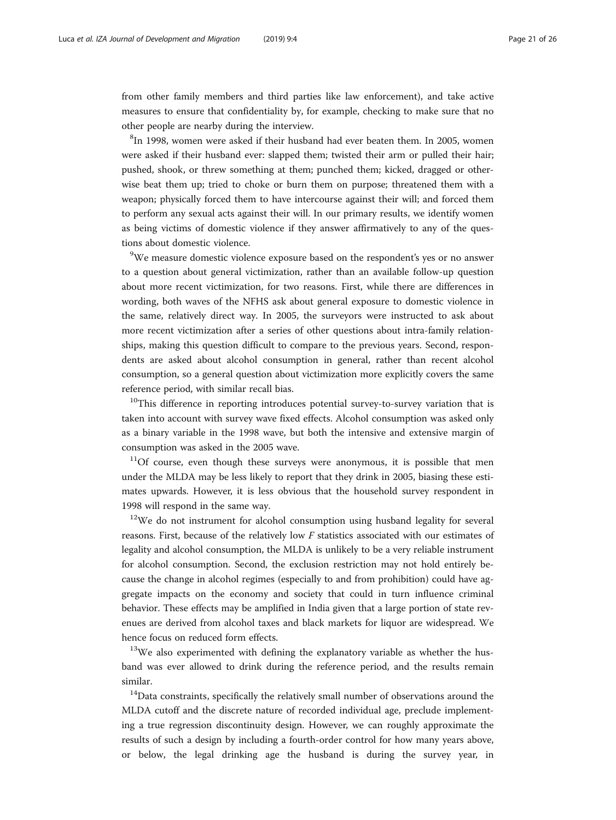from other family members and third parties like law enforcement), and take active measures to ensure that confidentiality by, for example, checking to make sure that no other people are nearby during the interview.

<sup>8</sup>In 1998, women were asked if their husband had ever beaten them. In 2005, women were asked if their husband ever: slapped them; twisted their arm or pulled their hair; pushed, shook, or threw something at them; punched them; kicked, dragged or otherwise beat them up; tried to choke or burn them on purpose; threatened them with a weapon; physically forced them to have intercourse against their will; and forced them to perform any sexual acts against their will. In our primary results, we identify women as being victims of domestic violence if they answer affirmatively to any of the questions about domestic violence.

<sup>9</sup>We measure domestic violence exposure based on the respondent's yes or no answer to a question about general victimization, rather than an available follow-up question about more recent victimization, for two reasons. First, while there are differences in wording, both waves of the NFHS ask about general exposure to domestic violence in the same, relatively direct way. In 2005, the surveyors were instructed to ask about more recent victimization after a series of other questions about intra-family relationships, making this question difficult to compare to the previous years. Second, respondents are asked about alcohol consumption in general, rather than recent alcohol consumption, so a general question about victimization more explicitly covers the same reference period, with similar recall bias.

<sup>10</sup>This difference in reporting introduces potential survey-to-survey variation that is taken into account with survey wave fixed effects. Alcohol consumption was asked only as a binary variable in the 1998 wave, but both the intensive and extensive margin of consumption was asked in the 2005 wave.

 $11$ Of course, even though these surveys were anonymous, it is possible that men under the MLDA may be less likely to report that they drink in 2005, biasing these estimates upwards. However, it is less obvious that the household survey respondent in 1998 will respond in the same way.

 $12$ We do not instrument for alcohol consumption using husband legality for several reasons. First, because of the relatively low F statistics associated with our estimates of legality and alcohol consumption, the MLDA is unlikely to be a very reliable instrument for alcohol consumption. Second, the exclusion restriction may not hold entirely because the change in alcohol regimes (especially to and from prohibition) could have aggregate impacts on the economy and society that could in turn influence criminal behavior. These effects may be amplified in India given that a large portion of state revenues are derived from alcohol taxes and black markets for liquor are widespread. We hence focus on reduced form effects.

 $13$ We also experimented with defining the explanatory variable as whether the husband was ever allowed to drink during the reference period, and the results remain similar.

 $14$ Data constraints, specifically the relatively small number of observations around the MLDA cutoff and the discrete nature of recorded individual age, preclude implementing a true regression discontinuity design. However, we can roughly approximate the results of such a design by including a fourth-order control for how many years above, or below, the legal drinking age the husband is during the survey year, in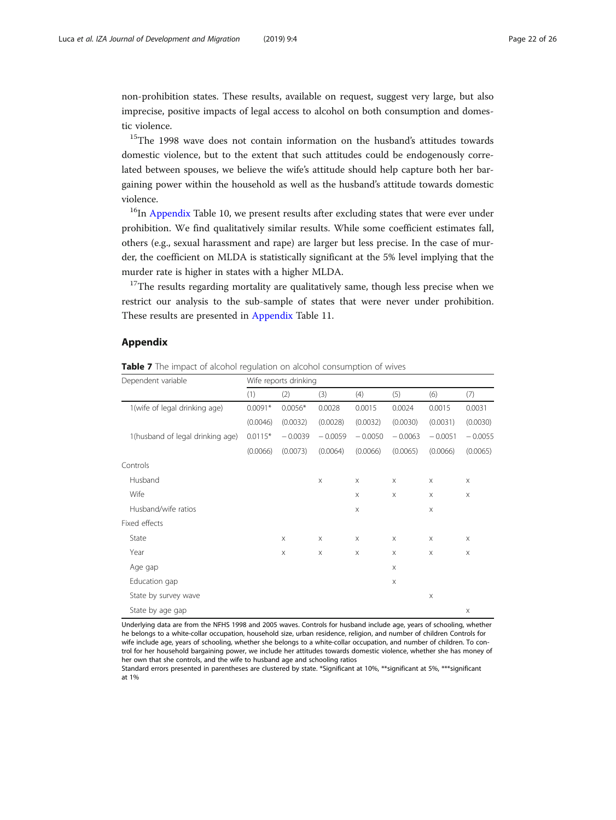<span id="page-21-0"></span>non-prohibition states. These results, available on request, suggest very large, but also imprecise, positive impacts of legal access to alcohol on both consumption and domestic violence.

<sup>15</sup>The 1998 wave does not contain information on the husband's attitudes towards domestic violence, but to the extent that such attitudes could be endogenously correlated between spouses, we believe the wife's attitude should help capture both her bargaining power within the household as well as the husband's attitude towards domestic violence.

<sup>16</sup>In Appendix Table 10, we present results after excluding states that were ever under prohibition. We find qualitatively similar results. While some coefficient estimates fall, others (e.g., sexual harassment and rape) are larger but less precise. In the case of murder, the coefficient on MLDA is statistically significant at the 5% level implying that the murder rate is higher in states with a higher MLDA.

<sup>17</sup>The results regarding mortality are qualitatively same, though less precise when we restrict our analysis to the sub-sample of states that were never under prohibition. These results are presented in Appendix Table 11.

## Appendix

| Dependent variable               |           | Wife reports drinking |           |           |                       |                       |           |
|----------------------------------|-----------|-----------------------|-----------|-----------|-----------------------|-----------------------|-----------|
|                                  | (1)       | (2)                   | (3)       | (4)       | (5)                   | (6)                   | (7)       |
| 1(wife of legal drinking age)    | $0.0091*$ | $0.0056*$             | 0.0028    | 0.0015    | 0.0024                | 0.0015                | 0.0031    |
|                                  | (0.0046)  | (0.0032)              | (0.0028)  | (0.0032)  | (0.0030)              | (0.0031)              | (0.0030)  |
| 1(husband of legal drinking age) | $0.0115*$ | $-0.0039$             | $-0.0059$ | $-0.0050$ | $-0.0063$             | $-0.0051$             | $-0.0055$ |
|                                  | (0.0066)  | (0.0073)              | (0.0064)  | (0.0066)  | (0.0065)              | (0.0066)              | (0.0065)  |
| Controls                         |           |                       |           |           |                       |                       |           |
| Husband                          |           |                       | X         | X         | $\boldsymbol{\times}$ | X                     | X         |
| Wife                             |           |                       |           | $\times$  | X                     | X                     | X         |
| Husband/wife ratios              |           |                       |           | X         |                       | X                     |           |
| Fixed effects                    |           |                       |           |           |                       |                       |           |
| State                            |           | $\times$              | Χ         | $\times$  | X                     | $\times$              | X         |
| Year                             |           | X                     | Χ         | X         | X                     | X                     | X         |
| Age gap                          |           |                       |           |           | $\boldsymbol{\times}$ |                       |           |
| Education gap                    |           |                       |           |           | $\boldsymbol{\times}$ |                       |           |
| State by survey wave             |           |                       |           |           |                       | $\boldsymbol{\times}$ |           |
| State by age gap                 |           |                       |           |           |                       |                       | X         |

Table 7 The impact of alcohol regulation on alcohol consumption of wives

Underlying data are from the NFHS 1998 and 2005 waves. Controls for husband include age, years of schooling, whether he belongs to a white-collar occupation, household size, urban residence, religion, and number of children Controls for wife include age, years of schooling, whether she belongs to a white-collar occupation, and number of children. To control for her household bargaining power, we include her attitudes towards domestic violence, whether she has money of her own that she controls, and the wife to husband age and schooling ratios

Standard errors presented in parentheses are clustered by state. \*Significant at 10%, \*\*significant at 5%, \*\*\*significant at 1%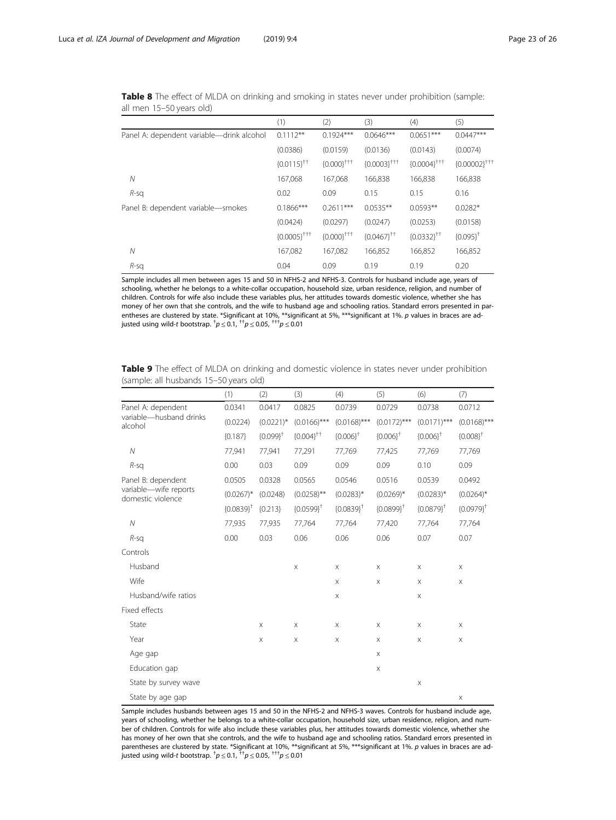|                                           | (1)                       | (2)                      | (3)                       | (4)                       | (5)                        |
|-------------------------------------------|---------------------------|--------------------------|---------------------------|---------------------------|----------------------------|
| Panel A: dependent variable-drink alcohol | $0.1112**$                | $0.1924***$              | $0.0646***$               | $0.0651***$               | $0.0447***$                |
|                                           | (0.0386)                  | (0.0159)                 | (0.0136)                  | (0.0143)                  | (0.0074)                   |
|                                           | ${0.0115}$ <sup>++</sup>  | ${0.000}$ <sup>+++</sup> | ${0.0003}$ <sup>+++</sup> | ${0.0004}$ <sup>+++</sup> | ${0.00002}$ <sup>+++</sup> |
| $\mathcal N$                              | 167,068                   | 167,068                  | 166,838                   | 166,838                   | 166,838                    |
| $R-Sq$                                    | 0.02                      | 0.09                     | 0.15                      | 0.15                      | 0.16                       |
| Panel B: dependent variable-smokes        | $0.1866***$               | $0.2611***$              | $0.0535**$                | $0.0593**$                | $0.0282*$                  |
|                                           | (0.0424)                  | (0.0297)                 | (0.0247)                  | (0.0253)                  | (0.0158)                   |
|                                           | ${0.0005}$ <sup>+++</sup> | ${0.000}$ <sup>+++</sup> | ${0.0467}$ <sup>++</sup>  | ${0.0332}$ <sup>++</sup>  | ${0.095}$ <sup>+</sup>     |
| N                                         | 167,082                   | 167,082                  | 166,852                   | 166,852                   | 166,852                    |
| $R-SQ$                                    | 0.04                      | 0.09                     | 0.19                      | 0.19                      | 0.20                       |

Table 8 The effect of MLDA on drinking and smoking in states never under prohibition (sample: all men 15–50 years old)

Sample includes all men between ages 15 and 50 in NFHS-2 and NFHS-3. Controls for husband include age, years of schooling, whether he belongs to a white-collar occupation, household size, urban residence, religion, and number of children. Controls for wife also include these variables plus, her attitudes towards domestic violence, whether she has money of her own that she controls, and the wife to husband age and schooling ratios. Standard errors presented in parentheses are clustered by state. \*Significant at 10%, \*\*significant at 5%, \*\*\*significant at 1%. p values in braces are adjusted using wild-t bootstrap.  $^{\dagger}p \leq 0.1$ ,  $^{\dagger\dagger}p \leq 0.05$ ,  $^{\dagger\dagger\dagger}p \leq 0.01$ 

| Table 9 The effect of MLDA on drinking and domestic violence in states never under prohibition |  |  |  |  |  |
|------------------------------------------------------------------------------------------------|--|--|--|--|--|
| (sample: all husbands 15-50 years old)                                                         |  |  |  |  |  |

|                                            | (1)                  | (2)                       | (3)                     | (4)                       | (5)                       | (6)                       | (7)                   |
|--------------------------------------------|----------------------|---------------------------|-------------------------|---------------------------|---------------------------|---------------------------|-----------------------|
| Panel A: dependent                         | 0.0341               | 0.0417                    | 0.0825                  | 0.0739                    | 0.0729                    | 0.0738                    | 0.0712                |
| variable-husband drinks<br>alcohol         | (0.0224)             | $(0.0221)^*$              | $(0.0166)$ ***          | $(0.0168)$ ***            | $(0.0172)$ ***            | $(0.0171)$ ***            | $(0.0168)$ ***        |
|                                            | ${0.187}$            | ${0.099}^{\dagger}$       | ${0.004}$ <sup>++</sup> | ${0.006}^{\dagger}$       | ${0.006}^{\dagger}$       | ${0.006}^{\dagger}$       | ${0.008}^{\dagger}$   |
| $\overline{N}$                             | 77,941               | 77,941                    | 77,291                  | 77,769                    | 77,425                    | 77,769                    | 77,769                |
| $R$ -sa                                    | 0.00                 | 0.03                      | 0.09                    | 0.09                      | 0.09                      | 0.10                      | 0.09                  |
| Panel B: dependent                         | 0.0505               | 0.0328                    | 0.0565                  | 0.0546                    | 0.0516                    | 0.0539                    | 0.0492                |
| variable-wife reports<br>domestic violence | $(0.0267)^*$         | (0.0248)                  | $(0.0258)$ **           | $(0.0283)*$               | $(0.0269)^*$              | $(0.0283)*$               | $(0.0264)$ *          |
|                                            | ${0.0839}^{\dagger}$ | ${0.213}$                 | ${0.0599}^{\dagger}$    | ${0.0839}^{\dagger}$      | ${0.0899}$ <sup>+</sup>   | ${0.0879}^{\dagger}$      | ${0.0979}^{\dagger}$  |
| $\overline{N}$                             | 77,935               | 77,935                    | 77,764                  | 77,764                    | 77,420                    | 77,764                    | 77,764                |
| $R-SQ$                                     | 0.00                 | 0.03                      | 0.06                    | 0.06                      | 0.06                      | 0.07                      | 0.07                  |
| Controls                                   |                      |                           |                         |                           |                           |                           |                       |
| Husband                                    |                      |                           | X                       | $\boldsymbol{\times}$     | $\boldsymbol{\mathsf{X}}$ | X                         | X                     |
| Wife                                       |                      |                           |                         | $\times$                  | $\times$                  | $\times$                  | $\times$              |
| Husband/wife ratios                        |                      |                           |                         | $\mathsf X$               |                           | $\boldsymbol{\mathsf{X}}$ |                       |
| Fixed effects                              |                      |                           |                         |                           |                           |                           |                       |
| State                                      |                      | $\boldsymbol{\mathsf{X}}$ | X                       | $\boldsymbol{\mathsf{X}}$ | $\boldsymbol{\mathsf{X}}$ | X                         | X                     |
| Year                                       |                      | $\mathsf X$               | $\times$                | $\times$                  | $\boldsymbol{\mathsf{X}}$ | X                         | X                     |
| Age gap                                    |                      |                           |                         |                           | $\times$                  |                           |                       |
| Education gap                              |                      |                           |                         |                           | X                         |                           |                       |
| State by survey wave                       |                      |                           |                         |                           |                           | $\mathsf X$               |                       |
| State by age gap                           |                      |                           |                         |                           |                           |                           | $\boldsymbol{\times}$ |

Sample includes husbands between ages 15 and 50 in the NFHS-2 and NFHS-3 waves. Controls for husband include age, years of schooling, whether he belongs to a white-collar occupation, household size, urban residence, religion, and number of children. Controls for wife also include these variables plus, her attitudes towards domestic violence, whether she has money of her own that she controls, and the wife to husband age and schooling ratios. Standard errors presented in parentheses are clustered by state. \*Significant at 10%, \*\*significant at 5%, \*\*\*significant at 1%. p values in braces are adjusted using wild-t bootstrap.  $^{\dagger}p \leq 0.1$ ,  $^{\dagger +}p \leq 0.05$ ,  $^{\dagger +}p \leq 0.01$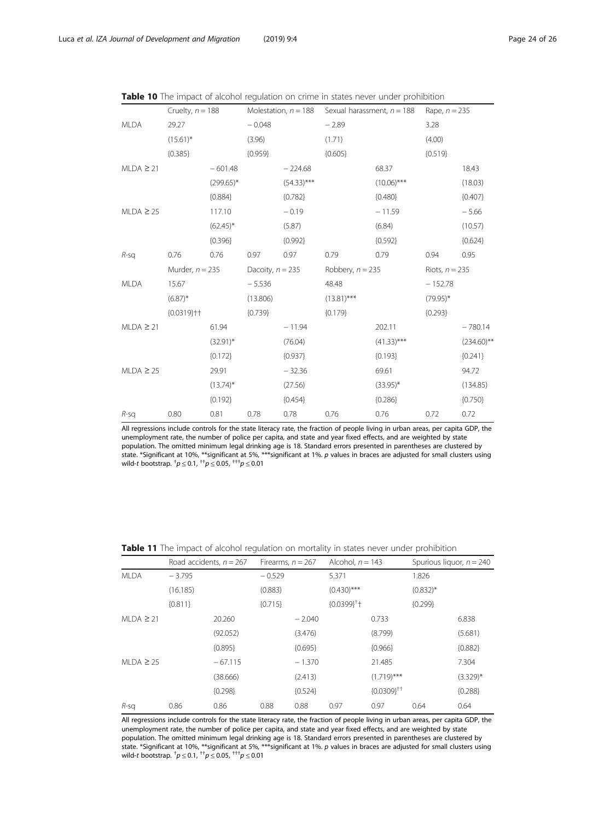| Table 10 The impact of alcohol regulation on crime in states never under prohibition |  |
|--------------------------------------------------------------------------------------|--|
|--------------------------------------------------------------------------------------|--|

|                | Cruelty, $n = 188$ |               | Molestation, $n = 188$ |               | Sexual harassment, $n = 188$ |               | Rape, $n = 235$  |               |
|----------------|--------------------|---------------|------------------------|---------------|------------------------------|---------------|------------------|---------------|
| <b>MLDA</b>    | 29.27              |               | $-0.048$               |               | $-2.89$                      |               | 3.28             |               |
|                | $(15.61)^{*}$      |               | (3.96)                 |               | (1.71)                       |               | (4.00)           |               |
|                | ${0.385}$          |               | ${0.959}$              |               | ${0.605}$                    |               | ${0.519}$        |               |
| $MLDA \geq 21$ |                    | $-601.48$     |                        | $-224.68$     |                              | 68.37         |                  | 18.43         |
|                |                    | $(299.65)^*$  |                        | $(54.33)$ *** |                              | $(10.06)$ *** |                  | (18.03)       |
|                |                    | ${0.884}$     |                        | ${0.782}$     |                              | ${0.480}$     |                  | ${0.407}$     |
| $MLDA \geq 25$ |                    | 117.10        |                        | $-0.19$       |                              | $-11.59$      |                  | $-5.66$       |
|                |                    | $(62.45)^*$   |                        | (5.87)        |                              | (6.84)        |                  | (10.57)       |
|                |                    | ${0.396}$     |                        | ${0.992}$     |                              | ${0.592}$     |                  | ${0.624}$     |
| $R$ -sq        | 0.76               | 0.76          | 0.97                   | 0.97          | 0.79                         | 0.79          | 0.94             | 0.95          |
|                | Murder, $n = 235$  |               | Dacoity, $n = 235$     |               | Robbery, $n = 235$           |               | Riots, $n = 235$ |               |
| <b>MLDA</b>    | 15.67              |               | $-5.536$               |               | 48.48                        |               | $-152.78$        |               |
|                | $(6.87)^*$         |               | (13.806)               |               | $(13.81)$ ***                |               | $(79.95)^*$      |               |
|                | ${0.0319}$ † †     |               | ${0.739}$              |               | ${0.179}$                    |               | ${0.293}$        |               |
| $MLDA \geq 21$ |                    | 61.94         |                        | $-11.94$      |                              | 202.11        |                  | $-780.14$     |
|                |                    | $(32.91)^*$   |                        | (76.04)       |                              | $(41.33)$ *** |                  | $(234.60)$ ** |
|                |                    | ${0.172}$     |                        | ${0.937}$     |                              | ${0.193}$     |                  | ${0.241}$     |
| $MLDA \geq 25$ |                    | 29.91         |                        | $-32.36$      |                              | 69.61         |                  | 94.72         |
|                |                    | $(13.74)^{*}$ |                        | (27.56)       |                              | $(33.95)^*$   |                  | (134.85)      |
|                |                    | ${0.192}$     |                        | ${0.454}$     |                              | ${0.286}$     |                  | ${0.750}$     |
| $R-Sq$         | 0.80               | 0.81          | 0.78                   | 0.78          | 0.76                         | 0.76          | 0.72             | 0.72          |

All regressions include controls for the state literacy rate, the fraction of people living in urban areas, per capita GDP, the unemployment rate, the number of police per capita, and state and year fixed effects, and are weighted by state population. The omitted minimum legal drinking age is 18. Standard errors presented in parentheses are clustered by state. \*Significant at 10%, \*\*significant at 5%, \*\*\*significant at 1%. *p* values in braces are adjusted for small clusters using<br>wild-t bootstrap. <sup>†</sup>p ≤ 0.1, <sup>††</sup>p ≤ 0.05, <sup>†††</sup>p ≤ 0.01

Table 11 The impact of alcohol regulation on mortality in states never under prohibition

|                |           | Road accidents, $n = 267$ | Firearms, $n = 267$ |           | Alcohol, $n = 143$        |                          | Spurious liquor, $n = 240$ |             |
|----------------|-----------|---------------------------|---------------------|-----------|---------------------------|--------------------------|----------------------------|-------------|
| <b>MLDA</b>    | $-3.795$  |                           | $-0.529$            |           | 5.371                     |                          | 1.826                      |             |
|                | (16.185)  |                           | (0.883)             |           | $(0.430)$ ***             |                          | $(0.832)^*$                |             |
|                | ${0.811}$ |                           | ${0.715}$           |           | ${0.0399}$ <sup>+</sup> + |                          | ${0.299}$                  |             |
| $MLDA \geq 21$ |           | 20.260                    |                     | $-2.040$  |                           | 0.733                    |                            | 6.838       |
|                |           | (92.052)                  |                     | (3.476)   |                           | (8.799)                  |                            | (5.681)     |
|                |           | ${0.895}$                 |                     | ${0.695}$ |                           | ${0.966}$                |                            | ${0.882}$   |
| $MLDA \geq 25$ |           | $-67.115$                 |                     | $-1.370$  |                           | 21.485                   |                            | 7.304       |
|                |           | (38.666)                  |                     | (2.413)   |                           | $(1.719)$ ***            |                            | $(3.329)^*$ |
|                |           | ${0.298}$                 |                     | ${0.524}$ |                           | ${0.0309}$ <sup>++</sup> |                            | ${0.288}$   |
| $R-Sq$         | 0.86      | 0.86                      | 0.88                | 0.88      | 0.97                      | 0.97                     | 0.64                       | 0.64        |

All regressions include controls for the state literacy rate, the fraction of people living in urban areas, per capita GDP, the unemployment rate, the number of police per capita, and state and year fixed effects, and are weighted by state population. The omitted minimum legal drinking age is 18. Standard errors presented in parentheses are clustered by state. \*Significant at 10%, \*\*significant at 5%, \*\*\*significant at 1%. p values in braces are adjusted for small clusters using wild-t bootstrap.  $^{+}p \le 0.1, ^{++}p \le 0.05, ^{+++}p \le 0.01$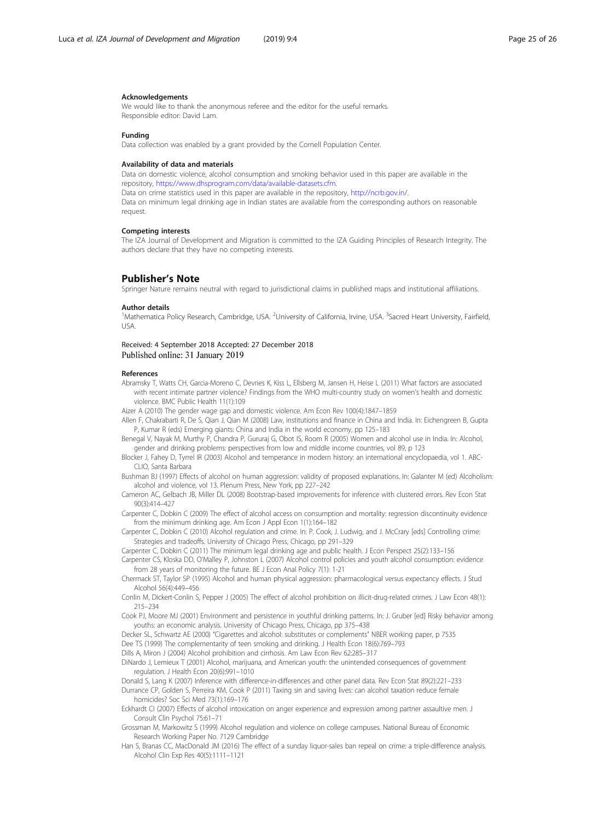#### <span id="page-24-0"></span>Acknowledgements

We would like to thank the anonymous referee and the editor for the useful remarks. Responsible editor: David Lam.

#### Funding

Data collection was enabled by a grant provided by the Cornell Population Center.

#### Availability of data and materials

Data on domestic violence, alcohol consumption and smoking behavior used in this paper are available in the repository, [https://www.dhsprogram.com/data/available-datasets.cfm.](https://www.dhsprogram.com/data/available-datasets.cfm)

Data on crime statistics used in this paper are available in the repository, <http://ncrb.gov.in>/.

Data on minimum legal drinking age in Indian states are available from the corresponding authors on reasonable request.

#### Competing interests

The IZA Journal of Development and Migration is committed to the IZA Guiding Principles of Research Integrity. The authors declare that they have no competing interests.

#### Publisher's Note

Springer Nature remains neutral with regard to jurisdictional claims in published maps and institutional affiliations.

#### Author details

<sup>1</sup>Mathematica Policy Research, Cambridge, USA. <sup>2</sup>University of California, Irvine, USA. <sup>3</sup>Sacred Heart University, Fairfield USA.

#### Received: 4 September 2018 Accepted: 27 December 2018 Published online: 31 January 2019

#### References

Abramsky T, Watts CH, Garcia-Moreno C, Devries K, Kiss L, Ellsberg M, Jansen H, Heise L (2011) What factors are associated with recent intimate partner violence? Findings from the WHO multi-country study on women's health and domestic violence. BMC Public Health 11(1):109

Aizer A (2010) The gender wage gap and domestic violence. Am Econ Rev 100(4):1847–1859

- Allen F, Chakrabarti R, De S, Qian J, Qian M (2008) Law, institutions and finance in China and India. In: Eichengreen B, Gupta P, Kumar R (eds) Emerging giants: China and India in the world economy, pp 125–183
- Benegal V, Nayak M, Murthy P, Chandra P, Gururaj G, Obot IS, Room R (2005) Women and alcohol use in India. In: Alcohol, gender and drinking problems: perspectives from low and middle income countries, vol 89, p 123
- Blocker J, Fahey D, Tyrrel IR (2003) Alcohol and temperance in modern history: an international encyclopaedia, vol 1. ABC-CLIO, Santa Barbara

Bushman BJ (1997) Effects of alcohol on human aggression: validity of proposed explanations. In: Galanter M (ed) Alcoholism: alcohol and violence, vol 13. Plenum Press, New York, pp 227–242

Cameron AC, Gelbach JB, Miller DL (2008) Bootstrap-based improvements for inference with clustered errors. Rev Econ Stat 90(3):414–427

Carpenter C, Dobkin C (2009) The effect of alcohol access on consumption and mortality: regression discontinuity evidence from the minimum drinking age. Am Econ J Appl Econ 1(1):164–182

Carpenter C, Dobkin C (2010) Alcohol regulation and crime. In: P. Cook, J. Ludwig, and J. McCrary [eds] Controlling crime: Strategies and tradeoffs. University of Chicago Press, Chicago, pp 291–329

Carpenter C, Dobkin C (2011) The minimum legal drinking age and public health. J Econ Perspect 25(2):133–156

Carpenter CS, Kloska DD, O'Malley P, Johnston L (2007) Alcohol control policies and youth alcohol consumption: evidence from 28 years of monitoring the future. BE J Econ Anal Policy 7(1): 1-21

- Chermack ST, Taylor SP (1995) Alcohol and human physical aggression: pharmacological versus expectancy effects. J Stud Alcohol 56(4):449–456
- Conlin M, Dickert-Conlin S, Pepper J (2005) The effect of alcohol prohibition on illicit-drug-related crimes. J Law Econ 48(1): 215–234
- Cook PJ, Moore MJ (2001) Environment and persistence in youthful drinking patterns. In: J. Gruber [ed] Risky behavior among youths: an economic analysis. University of Chicago Press, Chicago, pp 375–438

Decker SL, Schwartz AE (2000) "Cigarettes and alcohol: substitutes or complements" NBER working paper, p 7535 Dee TS (1999) The complementarity of teen smoking and drinking. J Health Econ 18(6):769–793

Dills A, Miron J (2004) Alcohol prohibition and cirrhosis. Am Law Econ Rev 62:285–317

DiNardo J, Lemieux T (2001) Alcohol, marijuana, and American youth: the unintended consequences of government regulation. J Health Econ 20(6):991–1010

Donald S, Lang K (2007) Inference with difference-in-differences and other panel data. Rev Econ Stat 89(2):221–233 Durrance CP, Golden S, Perreira KM, Cook P (2011) Taxing sin and saving lives: can alcohol taxation reduce female homicides? Soc Sci Med 73(1):169–176

- Eckhardt CI (2007) Effects of alcohol intoxication on anger experience and expression among partner assaultive men. J Consult Clin Psychol 75:61–71
- Grossman M, Markowitz S (1999) Alcohol regulation and violence on college campuses. National Bureau of Economic Research Working Paper No. 7129 Cambridge
- Han S, Branas CC, MacDonald JM (2016) The effect of a sunday liquor-sales ban repeal on crime: a triple-difference analysis. Alcohol Clin Exp Res 40(5):1111–1121